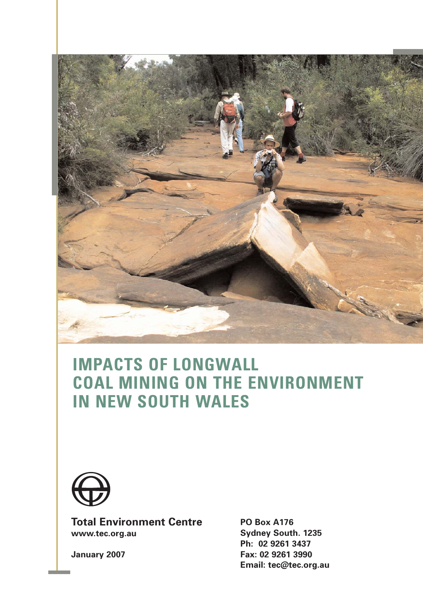

# **IMPACTS OF LONGWALL COAL MINING ON THE ENVIRONMENT IN NEW SOUTH WALES**



**Total Environment Centre www.tec.org.au**

**PO Box A176 Sydney South. 1235 Ph: 02 9261 3437 Fax: 02 9261 3990 Email: tec@tec.org.au**

**January 2007**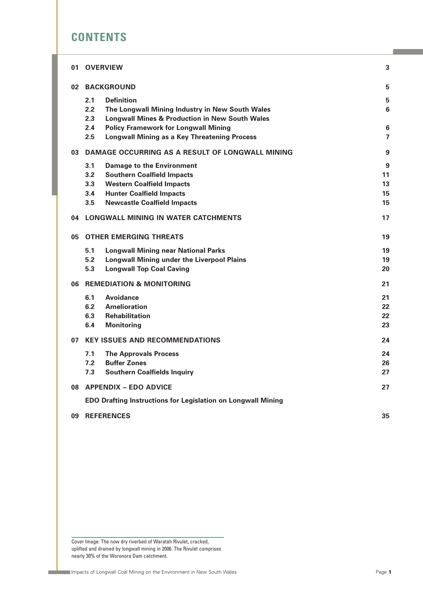# **CONTENTS**

| 01 | <b>OVERVIEW</b>                                                     | 3               |
|----|---------------------------------------------------------------------|-----------------|
|    | 02 BACKGROUND                                                       | 5               |
|    | 2.1<br><b>Definition</b>                                            | 5               |
|    | 2.2<br>The Longwall Mining Industry in New South Wales              | 6               |
|    | 2.3<br><b>Longwall Mines &amp; Production in New South Wales</b>    |                 |
|    | 2.4<br><b>Policy Framework for Longwall Mining</b>                  | $6\phantom{1}6$ |
|    | 2.5<br><b>Longwall Mining as a Key Threatening Process</b>          | $\overline{7}$  |
| 03 | DAMAGE OCCURRING AS A RESULT OF LONGWALL MINING                     | 9               |
|    | 3.1<br><b>Damage to the Environment</b>                             | 9               |
|    | 3.2<br><b>Southern Coalfield Impacts</b>                            | 11              |
|    | 3.3<br><b>Western Coalfield Impacts</b>                             | 13              |
|    | <b>Hunter Coalfield Impacts</b><br>3.4                              | 15              |
|    | 3.5<br><b>Newcastle Coalfield Impacts</b>                           | 15              |
| 04 | LONGWALL MINING IN WATER CATCHMENTS                                 | 17              |
| 05 | <b>OTHER EMERGING THREATS</b>                                       | 19              |
|    | 5.1<br><b>Longwall Mining near National Parks</b>                   | 19              |
|    | 5.2<br><b>Longwall Mining under the Liverpool Plains</b>            | 19              |
|    | 5.3<br><b>Longwall Top Coal Caving</b>                              | 20              |
| 06 | <b>REMEDIATION &amp; MONITORING</b>                                 | 21              |
|    | 6.1<br>Avoidance                                                    | 21              |
|    | 6.2<br><b>Amelioration</b>                                          | 22              |
|    | 6.3<br><b>Rehabilitation</b>                                        | 22              |
|    | <b>Monitoring</b><br>6.4                                            | 23              |
| 07 | <b>KEY ISSUES AND RECOMMENDATIONS</b>                               | 24              |
|    | 7.1<br><b>The Approvals Process</b>                                 | 24              |
|    | 7.2<br><b>Buffer Zones</b>                                          | 26              |
|    | 7.3<br><b>Southern Coalfields Inquiry</b>                           | 27              |
|    | 08 APPENDIX - EDO ADVICE                                            | 27              |
|    | <b>EDO Drafting Instructions for Legislation on Longwall Mining</b> |                 |
| 09 | <b>REFERENCES</b>                                                   | 35              |

Cover Image: The now dry riverbed of Waratah Rivulet, cracked, uplifted and drained by longwall mining in 2006. The Rivulet comprises nearly 30% of the Woronora Dam catchment.

 $\mathcal{L}$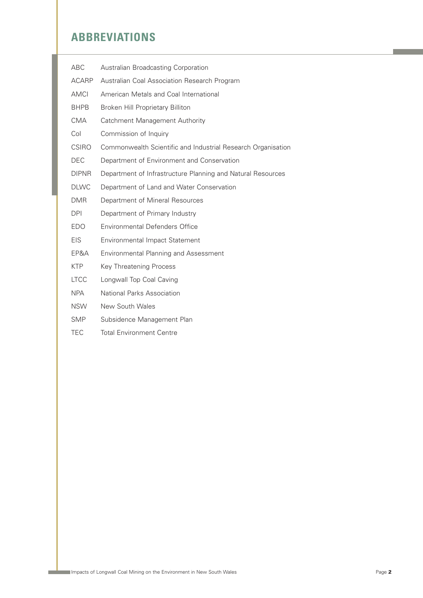# **ABBREVIATIONS**

| ABC          | Australian Broadcasting Corporation                          |
|--------------|--------------------------------------------------------------|
| <b>ACARP</b> | Australian Coal Association Research Program                 |
| AMCI         | American Metals and Coal International                       |
| <b>BHPB</b>  | Broken Hill Proprietary Billiton                             |
| <b>CMA</b>   | Catchment Management Authority                               |
| Col          | Commission of Inquiry                                        |
| <b>CSIRO</b> | Commonwealth Scientific and Industrial Research Organisation |
| DEC          | Department of Environment and Conservation                   |
| DIPNR        | Department of Infrastructure Planning and Natural Resources  |
| <b>DLWC</b>  | Department of Land and Water Conservation                    |
| <b>DMR</b>   | Department of Mineral Resources                              |
| DPI          | Department of Primary Industry                               |
| EDO          | Environmental Defenders Office                               |
| <b>EIS</b>   | <b>Environmental Impact Statement</b>                        |
| EP&A         | <b>Environmental Planning and Assessment</b>                 |
| <b>KTP</b>   | <b>Key Threatening Process</b>                               |
| <b>LTCC</b>  | Longwall Top Coal Caving                                     |
| <b>NPA</b>   | National Parks Association                                   |
| <b>NSW</b>   | New South Wales                                              |
| <b>SMP</b>   | Subsidence Management Plan                                   |
| <b>TEC</b>   | <b>Total Environment Centre</b>                              |
|              |                                                              |

**Contract**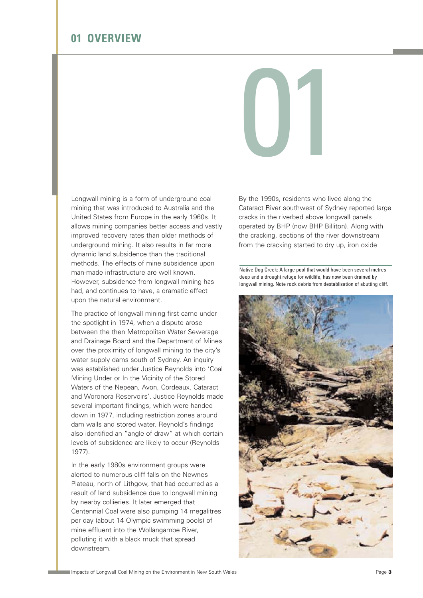

Longwall mining is a form of underground coal mining that was introduced to Australia and the United States from Europe in the early 1960s. It allows mining companies better access and vastly improved recovery rates than older methods of underground mining. It also results in far more dynamic land subsidence than the traditional methods. The effects of mine subsidence upon man-made infrastructure are well known. However, subsidence from longwall mining has had, and continues to have, a dramatic effect upon the natural environment.

The practice of longwall mining first came under the spotlight in 1974, when a dispute arose between the then Metropolitan Water Sewerage and Drainage Board and the Department of Mines over the proximity of longwall mining to the city's water supply dams south of Sydney. An inquiry was established under Justice Reynolds into 'Coal Mining Under or In the Vicinity of the Stored Waters of the Nepean, Avon, Cordeaux, Cataract and Woronora Reservoirs'. Justice Reynolds made several important findings, which were handed down in 1977, including restriction zones around dam walls and stored water. Reynold's findings also identified an "angle of draw" at which certain levels of subsidence are likely to occur (Reynolds 1977).

In the early 1980s environment groups were alerted to numerous cliff falls on the Newnes Plateau, north of Lithgow, that had occurred as a result of land subsidence due to longwall mining by nearby collieries. It later emerged that Centennial Coal were also pumping 14 megalitres per day (about 14 Olympic swimming pools) of mine effluent into the Wollangambe River, polluting it with a black muck that spread downstream.

By the 1990s, residents who lived along the Cataract River southwest of Sydney reported large cracks in the riverbed above longwall panels operated by BHP (now BHP Billiton). Along with the cracking, sections of the river downstream from the cracking started to dry up, iron oxide

Native Dog Creek: A large pool that would have been several metres deep and a drought refuge for wildlife, has now been drained by longwall mining. Note rock debris from destablisation of abutting cliff.

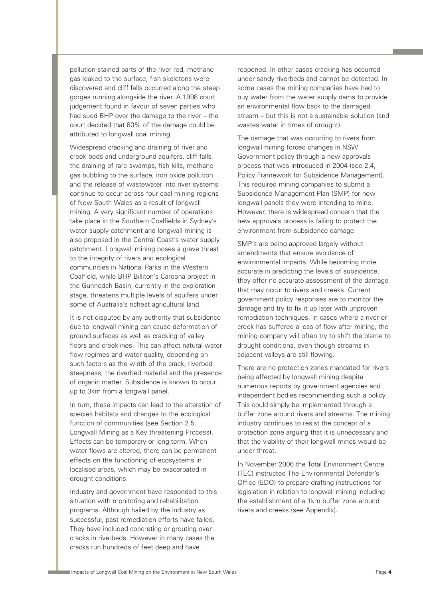pollution stained parts of the river red, methane gas leaked to the surface, fish skeletons were discovered and cliff falls occurred along the steep gorges running alongside the river. A 1998 court judgement found in favour of seven parties who had sued BHP over the damage to the river – the court decided that 80% of the damage could be attributed to longwall coal mining.

Widespread cracking and draining of river and creek beds and underground aquifers, cliff falls, the draining of rare swamps, fish kills, methane gas bubbling to the surface, iron oxide pollution and the release of wastewater into river systems continue to occur across four coal mining regions of New South Wales as a result of longwall mining. A very significant number of operations take place in the Southern Coalfields in Sydney's water supply catchment and longwall mining is also proposed in the Central Coast's water supply catchment. Longwall mining poses a grave threat to the integrity of rivers and ecological communities in National Parks in the Western Coalfield, while BHP Billiton's Caroona project in the Gunnedah Basin, currently in the exploration stage, threatens multiple levels of aquifers under some of Australia's richest agricultural land.

It is not disputed by any authority that subsidence due to longwall mining can cause deformation of ground surfaces as well as cracking of valley floors and creeklines. This can affect natural water flow regimes and water quality, depending on such factors as the width of the crack, riverbed steepness, the riverbed material and the presence of organic matter. Subsidence is known to occur up to 3km from a longwall panel.

In turn, these impacts can lead to the alteration of species habitats and changes to the ecological function of communities (see Section 2.5, Longwall Mining as a Key threatening Process). Effects can be temporary or long-term. When water flows are altered, there can be permanent effects on the functioning of ecosystems in localised areas, which may be exacerbated in drought conditions.

Industry and government have responded to this situation with monitoring and rehabilitation programs. Although hailed by the industry as successful, past remediation efforts have failed. They have included concreting or grouting over cracks in riverbeds. However in many cases the cracks run hundreds of feet deep and have

reopened. In other cases cracking has occurred under sandy riverbeds and cannot be detected. In some cases the mining companies have had to buy water from the water supply dams to provide an environmental flow back to the damaged stream – but this is not a sustainable solution (and wastes water in times of drought).

The damage that was occurring to rivers from longwall mining forced changes in NSW Government policy through a new approvals process that was introduced in 2004 (see 2.4, Policy Framework for Subsidence Management). This required mining companies to submit a Subsidence Management Plan (SMP) for new longwall panels they were intending to mine. However, there is widespread concern that the new approvals process is failing to protect the environment from subsidence damage.

SMP's are being approved largely without amendments that ensure avoidance of environmental impacts. While becoming more accurate in predicting the levels of subsidence, they offer no accurate assessment of the damage that may occur to rivers and creeks. Current government policy responses are to monitor the damage and try to fix it up later with unproven remediation techniques. In cases where a river or creek has suffered a loss of flow after mining, the mining company will often try to shift the blame to drought conditions, even though streams in adjacent valleys are still flowing.

There are no protection zones mandated for rivers being affected by longwall mining despite numerous reports by government agencies and independent bodies recommending such a policy. This could simply be implemented through a buffer zone around rivers and streams. The mining industry continues to resist the concept of a protection zone arguing that it is unnecessary and that the viability of their longwall mines would be under threat.

In November 2006 the Total Environment Centre (TEC) instructed The Environmental Defender's Office (EDO) to prepare drafting instructions for legislation in relation to longwall mining including the establishment of a 1km buffer zone around rivers and creeks (see Appendix).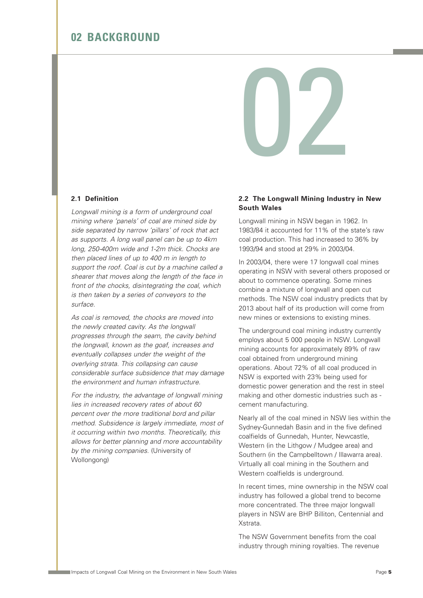### **02 BACKGROUND**



#### **2.1 Definition**

Longwall mining is a form of underground coal mining where 'panels' of coal are mined side by side separated by narrow 'pillars' of rock that act as supports. A long wall panel can be up to 4km long, 250-400m wide and 1-2m thick. Chocks are then placed lines of up to 400 m in length to support the roof. Coal is cut by a machine called a shearer that moves along the length of the face in front of the chocks, disintegrating the coal, which is then taken by a series of conveyors to the surface.

As coal is removed, the chocks are moved into the newly created cavity. As the longwall progresses through the seam, the cavity behind the longwall, known as the goaf, increases and eventually collapses under the weight of the overlying strata. This collapsing can cause considerable surface subsidence that may damage the environment and human infrastructure.

For the industry, the advantage of longwall mining lies in increased recovery rates of about 60 percent over the more traditional bord and pillar method. Subsidence is largely immediate, most of it occurring within two months. Theoretically, this allows for better planning and more accountability by the mining companies. (University of Wollongong)

#### **2.2 The Longwall Mining Industry in New South Wales**

Longwall mining in NSW began in 1962. In 1983/84 it accounted for 11% of the state's raw coal production. This had increased to 36% by 1993/94 and stood at 29% in 2003/04.

In 2003/04, there were 17 longwall coal mines operating in NSW with several others proposed or about to commence operating. Some mines combine a mixture of longwall and open cut methods. The NSW coal industry predicts that by 2013 about half of its production will come from new mines or extensions to existing mines.

The underground coal mining industry currently employs about 5 000 people in NSW. Longwall mining accounts for approximately 89% of raw coal obtained from underground mining operations. About 72% of all coal produced in NSW is exported with 23% being used for domestic power generation and the rest in steel making and other domestic industries such as cement manufacturing.

Nearly all of the coal mined in NSW lies within the Sydney-Gunnedah Basin and in the five defined coalfields of Gunnedah, Hunter, Newcastle, Western (in the Lithgow / Mudgee area) and Southern (in the Campbelltown / Illawarra area). Virtually all coal mining in the Southern and Western coalfields is underground.

In recent times, mine ownership in the NSW coal industry has followed a global trend to become more concentrated. The three major longwall players in NSW are BHP Billiton, Centennial and **X**etrata

The NSW Government benefits from the coal industry through mining royalties. The revenue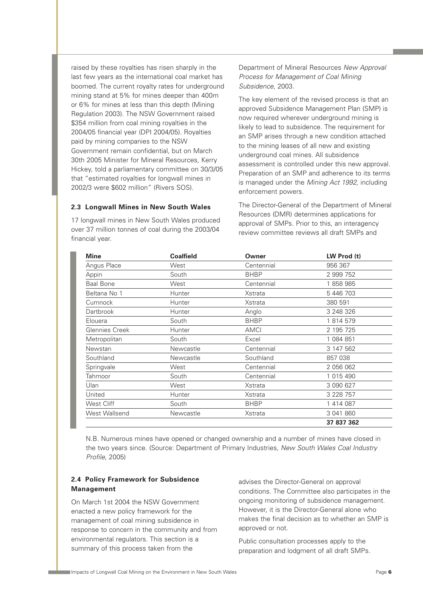raised by these royalties has risen sharply in the last few years as the international coal market has boomed. The current royalty rates for underground mining stand at 5% for mines deeper than 400m or 6% for mines at less than this depth (Mining Regulation 2003). The NSW Government raised \$354 million from coal mining royalties in the 2004/05 financial year (DPI 2004/05). Royalties paid by mining companies to the NSW Government remain confidential, but on March 30th 2005 Minister for Mineral Resources, Kerry Hickey, told a parliamentary committee on 30/3/05 that "estimated royalties for longwall mines in 2002/3 were \$602 million" (Rivers SOS).

#### **2.3 Longwall Mines in New South Wales**

17 longwall mines in New South Wales produced over 37 million tonnes of coal during the 2003/04 financial year.

Department of Mineral Resources New Approval Process for Management of Coal Mining Subsidence, 2003.

The key element of the revised process is that an approved Subsidence Management Plan (SMP) is now required wherever underground mining is likely to lead to subsidence. The requirement for an SMP arises through a new condition attached to the mining leases of all new and existing underground coal mines. All subsidence assessment is controlled under this new approval. Preparation of an SMP and adherence to its terms is managed under the Mining Act 1992, including enforcement powers.

The Director-General of the Department of Mineral Resources (DMR) determines applications for approval of SMPs. Prior to this, an interagency review committee reviews all draft SMPs and

| <b>Mine</b>      | <b>Coalfield</b> | Owner       | LW Prod (t) |
|------------------|------------------|-------------|-------------|
| Angus Place      | West             | Centennial  | 956 367     |
| Appin            | South            | <b>BHBP</b> | 2 999 752   |
| <b>Baal Bone</b> | West             | Centennial  | 1858985     |
| Beltana No 1     | Hunter           | Xstrata     | 5 446 703   |
| Cumnock          | <b>Hunter</b>    | Xstrata     | 380 591     |
| <b>Dartbrook</b> | Hunter           | Anglo       | 3 248 326   |
| Elouera          | South            | <b>BHBP</b> | 1 814 579   |
| Glennies Creek   | Hunter           | <b>AMCI</b> | 2 195 725   |
| Metropolitan     | South            | Excel       | 1 084 851   |
| Newstan          | Newcastle        | Centennial  | 3 147 562   |
| Southland        | Newcastle        | Southland   | 857 038     |
| Springvale       | West             | Centennial  | 2 056 062   |
| Tahmoor          | South            | Centennial  | 1 015 490   |
| Ulan             | West             | Xstrata     | 3 090 627   |
| United           | Hunter           | Xstrata     | 3 228 757   |
| West Cliff       | South            | <b>BHBP</b> | 1 414 087   |
| West Wallsend    | Newcastle        | Xstrata     | 3 041 860   |
|                  |                  |             | 37 837 362  |

N.B. Numerous mines have opened or changed ownership and a number of mines have closed in the two years since. (Source: Department of Primary Industries, New South Wales Coal Industry Profile, 2005)

#### **2.4 Policy Framework for Subsidence Management**

On March 1st 2004 the NSW Government enacted a new policy framework for the management of coal mining subsidence in response to concern in the community and from environmental regulators. This section is a summary of this process taken from the

advises the Director-General on approval conditions. The Committee also participates in the ongoing monitoring of subsidence management. However, it is the Director-General alone who makes the final decision as to whether an SMP is approved or not.

Public consultation processes apply to the preparation and lodgment of all draft SMPs.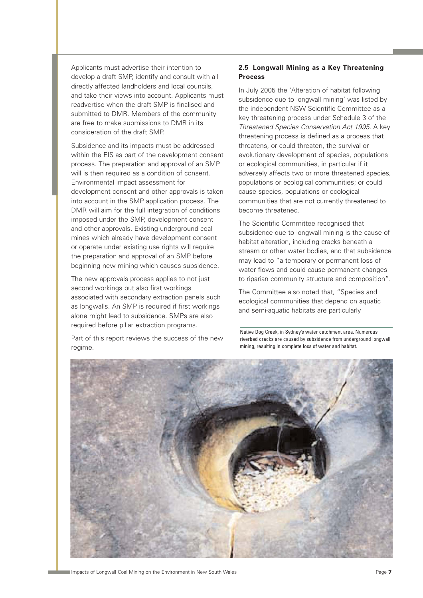Applicants must advertise their intention to develop a draft SMP, identify and consult with all directly affected landholders and local councils, and take their views into account. Applicants must readvertise when the draft SMP is finalised and submitted to DMR. Members of the community are free to make submissions to DMR in its consideration of the draft SMP.

Subsidence and its impacts must be addressed within the EIS as part of the development consent process. The preparation and approval of an SMP will is then required as a condition of consent. Environmental impact assessment for development consent and other approvals is taken into account in the SMP application process. The DMR will aim for the full integration of conditions imposed under the SMP, development consent and other approvals. Existing underground coal mines which already have development consent or operate under existing use rights will require the preparation and approval of an SMP before beginning new mining which causes subsidence.

The new approvals process applies to not just second workings but also first workings associated with secondary extraction panels such as longwalls. An SMP is required if first workings alone might lead to subsidence. SMPs are also required before pillar extraction programs.

Part of this report reviews the success of the new regime.

#### **2.5 Longwall Mining as a Key Threatening Process**

In July 2005 the 'Alteration of habitat following subsidence due to longwall mining' was listed by the independent NSW Scientific Committee as a key threatening process under Schedule 3 of the Threatened Species Conservation Act 1995. A key threatening process is defined as a process that threatens, or could threaten, the survival or evolutionary development of species, populations or ecological communities, in particular if it adversely affects two or more threatened species, populations or ecological communities; or could cause species, populations or ecological communities that are not currently threatened to become threatened.

The Scientific Committee recognised that subsidence due to longwall mining is the cause of habitat alteration, including cracks beneath a stream or other water bodies, and that subsidence may lead to "a temporary or permanent loss of water flows and could cause permanent changes to riparian community structure and composition".

The Committee also noted that, "Species and ecological communities that depend on aquatic and semi-aquatic habitats are particularly

Native Dog Creek, in Sydney's water catchment area. Numerous riverbed cracks are caused by subsidence from underground longwall mining, resulting in complete loss of water and habitat.

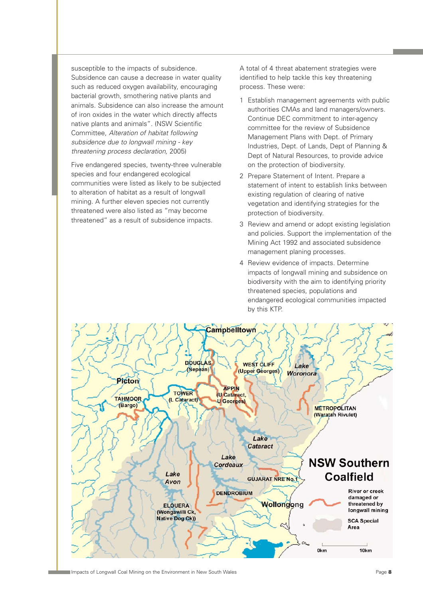susceptible to the impacts of subsidence. Subsidence can cause a decrease in water quality such as reduced oxygen availability, encouraging bacterial growth, smothering native plants and animals. Subsidence can also increase the amount of iron oxides in the water which directly affects native plants and animals". (NSW Scientific Committee, Alteration of habitat following subsidence due to longwall mining - key threatening process declaration, 2005)

Five endangered species, twenty-three vulnerable species and four endangered ecological communities were listed as likely to be subjected to alteration of habitat as a result of longwall mining. A further eleven species not currently threatened were also listed as "may become threatened" as a result of subsidence impacts.

A total of 4 threat abatement strategies were identified to help tackle this key threatening process. These were:

- 1 Establish management agreements with public authorities CMAs and land managers/owners. Continue DEC commitment to inter-agency committee for the review of Subsidence Management Plans with Dept. of Primary Industries, Dept. of Lands, Dept of Planning & Dept of Natural Resources, to provide advice on the protection of biodiversity.
- 2 Prepare Statement of Intent. Prepare a statement of intent to establish links between existing regulation of clearing of native vegetation and identifying strategies for the protection of biodiversity.
- 3 Review and amend or adopt existing legislation and policies. Support the implementation of the Mining Act 1992 and associated subsidence management planing processes.
- 4 Review evidence of impacts. Determine impacts of longwall mining and subsidence on biodiversity with the aim to identifying priority threatened species, populations and endangered ecological communities impacted by this KTP.

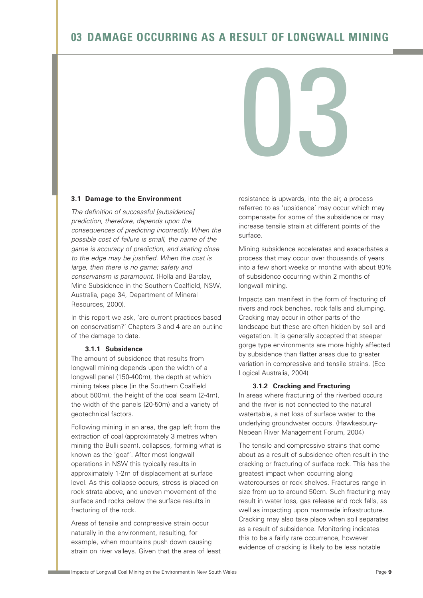# **03 DAMAGE OCCURRING AS A RESULT OF LONGWALL MINING**

03

#### **3.1 Damage to the Environment**

The definition of successful [subsidence] prediction, therefore, depends upon the consequences of predicting incorrectly. When the possible cost of failure is small, the name of the game is accuracy of prediction, and skating close to the edge may be justified. When the cost is large, then there is no game; safety and conservatism is paramount. (Holla and Barclay, Mine Subsidence in the Southern Coalfield, NSW, Australia, page 34, Department of Mineral Resources, 2000).

In this report we ask, 'are current practices based on conservatism?' Chapters 3 and 4 are an outline of the damage to date.

#### **3.1.1 Subsidence**

The amount of subsidence that results from longwall mining depends upon the width of a longwall panel (150-400m), the depth at which mining takes place (in the Southern Coalfield about 500m), the height of the coal seam (2-4m), the width of the panels (20-50m) and a variety of geotechnical factors.

Following mining in an area, the gap left from the extraction of coal (approximately 3 metres when mining the Bulli seam), collapses, forming what is known as the 'goaf'. After most longwall operations in NSW this typically results in approximately 1-2m of displacement at surface level. As this collapse occurs, stress is placed on rock strata above, and uneven movement of the surface and rocks below the surface results in fracturing of the rock.

Areas of tensile and compressive strain occur naturally in the environment, resulting, for example, when mountains push down causing strain on river valleys. Given that the area of least resistance is upwards, into the air, a process referred to as 'upsidence' may occur which may compensate for some of the subsidence or may increase tensile strain at different points of the surface.

Mining subsidence accelerates and exacerbates a process that may occur over thousands of years into a few short weeks or months with about 80% of subsidence occurring within 2 months of longwall mining.

Impacts can manifest in the form of fracturing of rivers and rock benches, rock falls and slumping. Cracking may occur in other parts of the landscape but these are often hidden by soil and vegetation. It is generally accepted that steeper gorge type environments are more highly affected by subsidence than flatter areas due to greater variation in compressive and tensile strains. (Eco Logical Australia, 2004)

#### **3.1.2 Cracking and Fracturing**

In areas where fracturing of the riverbed occurs and the river is not connected to the natural watertable, a net loss of surface water to the underlying groundwater occurs. (Hawkesbury-Nepean River Management Forum, 2004)

The tensile and compressive strains that come about as a result of subsidence often result in the cracking or fracturing of surface rock. This has the greatest impact when occurring along watercourses or rock shelves. Fractures range in size from up to around 50cm. Such fracturing may result in water loss, gas release and rock falls, as well as impacting upon manmade infrastructure. Cracking may also take place when soil separates as a result of subsidence. Monitoring indicates this to be a fairly rare occurrence, however evidence of cracking is likely to be less notable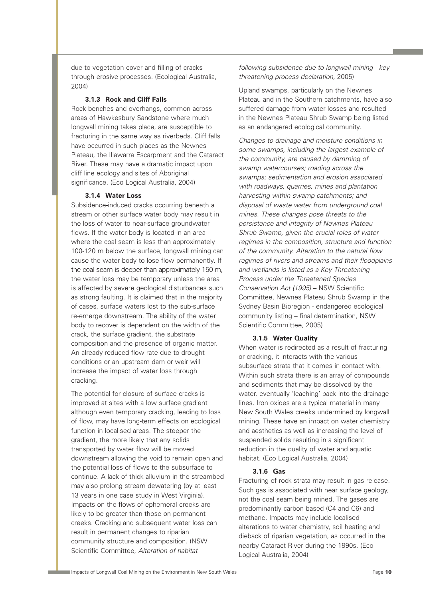due to vegetation cover and filling of cracks through erosive processes. (Ecological Australia, 2004)

#### **3.1.3 Rock and Cliff Falls**

Rock benches and overhangs, common across areas of Hawkesbury Sandstone where much longwall mining takes place, are susceptible to fracturing in the same way as riverbeds. Cliff falls have occurred in such places as the Newnes Plateau, the Illawarra Escarpment and the Cataract River. These may have a dramatic impact upon cliff line ecology and sites of Aboriginal significance. (Eco Logical Australia, 2004)

#### **3.1.4 Water Loss**

Subsidence-induced cracks occurring beneath a stream or other surface water body may result in the loss of water to near-surface groundwater flows. If the water body is located in an area where the coal seam is less than approximately 100-120 m below the surface, longwall mining can cause the water body to lose flow permanently. If the coal seam is deeper than approximately 150 m, the water loss may be temporary unless the area is affected by severe geological disturbances such as strong faulting. It is claimed that in the majority of cases, surface waters lost to the sub-surface re-emerge downstream. The ability of the water body to recover is dependent on the width of the crack, the surface gradient, the substrate composition and the presence of organic matter. An already-reduced flow rate due to drought conditions or an upstream dam or weir will increase the impact of water loss through cracking.

The potential for closure of surface cracks is improved at sites with a low surface gradient although even temporary cracking, leading to loss of flow, may have long-term effects on ecological function in localised areas. The steeper the gradient, the more likely that any solids transported by water flow will be moved downstream allowing the void to remain open and the potential loss of flows to the subsurface to continue. A lack of thick alluvium in the streambed may also prolong stream dewatering (by at least 13 years in one case study in West Virginia). Impacts on the flows of ephemeral creeks are likely to be greater than those on permanent creeks. Cracking and subsequent water loss can result in permanent changes to riparian community structure and composition. (NSW Scientific Committee, Alteration of habitat

following subsidence due to longwall mining - key threatening process declaration, 2005)

Upland swamps, particularly on the Newnes Plateau and in the Southern catchments, have also suffered damage from water losses and resulted in the Newnes Plateau Shrub Swamp being listed as an endangered ecological community.

Changes to drainage and moisture conditions in some swamps, including the largest example of the community, are caused by damming of swamp watercourses; roading across the swamps; sedimentation and erosion associated with roadways, quarries, mines and plantation harvesting within swamp catchments; and disposal of waste water from underground coal mines. These changes pose threats to the persistence and integrity of Newnes Plateau Shrub Swamp, given the crucial roles of water regimes in the composition, structure and function of the community. Alteration to the natural flow regimes of rivers and streams and their floodplains and wetlands is listed as a Key Threatening Process under the Threatened Species Conservation Act (1995) – NSW Scientific Committee, Newnes Plateau Shrub Swamp in the Sydney Basin Bioregion - endangered ecological community listing – final determination, NSW Scientific Committee, 2005)

#### **3.1.5 Water Quality**

When water is redirected as a result of fracturing or cracking, it interacts with the various subsurface strata that it comes in contact with. Within such strata there is an array of compounds and sediments that may be dissolved by the water, eventually 'leaching' back into the drainage lines. Iron oxides are a typical material in many New South Wales creeks undermined by longwall mining. These have an impact on water chemistry and aesthetics as well as increasing the level of suspended solids resulting in a significant reduction in the quality of water and aquatic habitat. (Eco Logical Australia, 2004)

#### **3.1.6 Gas**

Fracturing of rock strata may result in gas release. Such gas is associated with near surface geology, not the coal seam being mined. The gases are predominantly carbon based (C4 and C6) and methane. Impacts may include localised alterations to water chemistry, soil heating and dieback of riparian vegetation, as occurred in the nearby Cataract River during the 1990s. (Eco Logical Australia, 2004)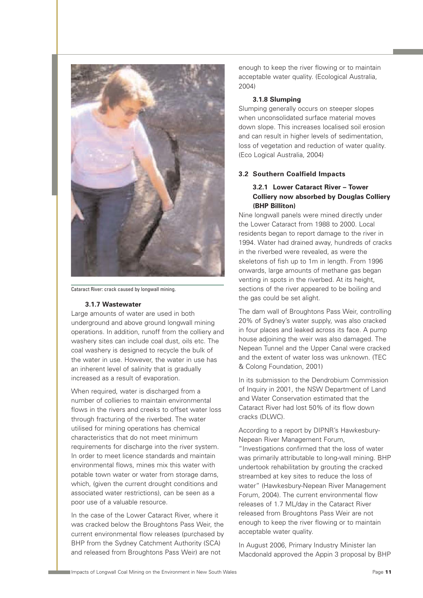

Cataract River: crack caused by longwall mining.

#### **3.1.7 Wastewater**

Large amounts of water are used in both underground and above ground longwall mining operations. In addition, runoff from the colliery and washery sites can include coal dust, oils etc. The coal washery is designed to recycle the bulk of the water in use. However, the water in use has an inherent level of salinity that is gradually increased as a result of evaporation.

When required, water is discharged from a number of collieries to maintain environmental flows in the rivers and creeks to offset water loss through fracturing of the riverbed. The water utilised for mining operations has chemical characteristics that do not meet minimum requirements for discharge into the river system. In order to meet licence standards and maintain environmental flows, mines mix this water with potable town water or water from storage dams, which, (given the current drought conditions and associated water restrictions), can be seen as a poor use of a valuable resource.

In the case of the Lower Cataract River, where it was cracked below the Broughtons Pass Weir, the current environmental flow releases (purchased by BHP from the Sydney Catchment Authority (SCA) and released from Broughtons Pass Weir) are not

enough to keep the river flowing or to maintain acceptable water quality. (Ecological Australia, 2004)

#### **3.1.8 Slumping**

Slumping generally occurs on steeper slopes when unconsolidated surface material moves down slope. This increases localised soil erosion and can result in higher levels of sedimentation, loss of vegetation and reduction of water quality. (Eco Logical Australia, 2004)

#### **3.2 Southern Coalfield Impacts**

#### **3.2.1 Lower Cataract River – Tower Colliery now absorbed by Douglas Colliery (BHP Billiton)**

Nine longwall panels were mined directly under the Lower Cataract from 1988 to 2000. Local residents began to report damage to the river in 1994. Water had drained away, hundreds of cracks in the riverbed were revealed, as were the skeletons of fish up to 1m in length. From 1996 onwards, large amounts of methane gas began venting in spots in the riverbed. At its height, sections of the river appeared to be boiling and the gas could be set alight.

The dam wall of Broughtons Pass Weir, controlling 20% of Sydney's water supply, was also cracked in four places and leaked across its face. A pump house adjoining the weir was also damaged. The Nepean Tunnel and the Upper Canal were cracked and the extent of water loss was unknown. (TEC & Colong Foundation, 2001)

In its submission to the Dendrobium Commission of Inquiry in 2001, the NSW Department of Land and Water Conservation estimated that the Cataract River had lost 50% of its flow down cracks (DLWC).

According to a report by DIPNR's Hawkesbury-Nepean River Management Forum, "Investigations confirmed that the loss of water was primarily attributable to long-wall mining. BHP undertook rehabilitation by grouting the cracked streambed at key sites to reduce the loss of water" (Hawkesbury-Nepean River Management Forum, 2004). The current environmental flow releases of 1.7 ML/day in the Cataract River released from Broughtons Pass Weir are not enough to keep the river flowing or to maintain acceptable water quality.

In August 2006, Primary Industry Minister Ian Macdonald approved the Appin 3 proposal by BHP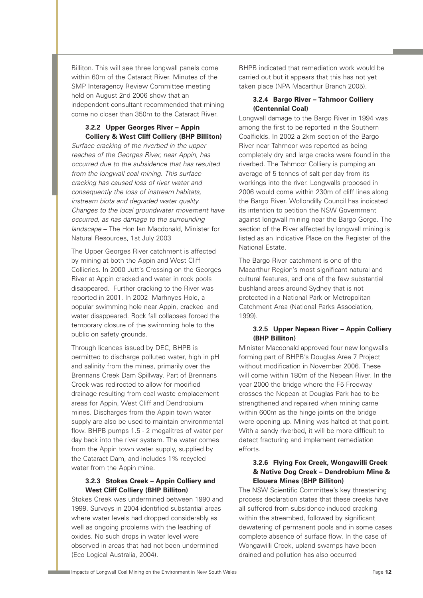Billiton. This will see three longwall panels come within 60m of the Cataract River. Minutes of the SMP Interagency Review Committee meeting held on August 2nd 2006 show that an independent consultant recommended that mining come no closer than 350m to the Cataract River.

#### **3.2.2 Upper Georges River – Appin Colliery & West Cliff Colliery (BHP Billiton)**

Surface cracking of the riverbed in the upper reaches of the Georges River, near Appin, has occurred due to the subsidence that has resulted from the longwall coal mining. This surface cracking has caused loss of river water and consequently the loss of instream habitats, instream biota and degraded water quality. Changes to the local groundwater movement have occurred, as has damage to the surrounding landscape – The Hon Ian Macdonald, Minister for Natural Resources, 1st July 2003

The Upper Georges River catchment is affected by mining at both the Appin and West Cliff Collieries. In 2000 Jutt's Crossing on the Georges River at Appin cracked and water in rock pools disappeared. Further cracking to the River was reported in 2001. In 2002 Marhnyes Hole, a popular swimming hole near Appin, cracked and water disappeared. Rock fall collapses forced the temporary closure of the swimming hole to the public on safety grounds.

Through licences issued by DEC, BHPB is permitted to discharge polluted water, high in pH and salinity from the mines, primarily over the Brennans Creek Dam Spillway. Part of Brennans Creek was redirected to allow for modified drainage resulting from coal waste emplacement areas for Appin, West Cliff and Dendrobium mines. Discharges from the Appin town water supply are also be used to maintain environmental flow. BHPB pumps 1.5 - 2 megalitres of water per day back into the river system. The water comes from the Appin town water supply, supplied by the Cataract Dam, and includes 1% recycled water from the Appin mine.

#### **3.2.3 Stokes Creek – Appin Colliery and West Cliff Colliery (BHP Billiton)**

Stokes Creek was undermined between 1990 and 1999. Surveys in 2004 identified substantial areas where water levels had dropped considerably as well as ongoing problems with the leaching of oxides. No such drops in water level were observed in areas that had not been undermined (Eco Logical Australia, 2004).

BHPB indicated that remediation work would be carried out but it appears that this has not yet taken place (NPA Macarthur Branch 2005).

#### **3.2.4 Bargo River – Tahmoor Colliery (Centennial Coal)**

Longwall damage to the Bargo River in 1994 was among the first to be reported in the Southern Coalfields. In 2002 a 2km section of the Bargo River near Tahmoor was reported as being completely dry and large cracks were found in the riverbed. The Tahmoor Colliery is pumping an average of 5 tonnes of salt per day from its workings into the river. Longwalls proposed in 2006 would come within 230m of cliff lines along the Bargo River. Wollondilly Council has indicated its intention to petition the NSW Government against longwall mining near the Bargo Gorge. The section of the River affected by longwall mining is listed as an Indicative Place on the Register of the National Estate.

The Bargo River catchment is one of the Macarthur Region's most significant natural and cultural features, and one of the few substantial bushland areas around Sydney that is not protected in a National Park or Metropolitan Catchment Area (National Parks Association, 1999).

#### **3.2.5 Upper Nepean River – Appin Colliery (BHP Billiton)**

Minister Macdonald approved four new longwalls forming part of BHPB's Douglas Area 7 Project without modification in November 2006. These will come within 180m of the Nepean River. In the year 2000 the bridge where the F5 Freeway crosses the Nepean at Douglas Park had to be strengthened and repaired when mining came within 600m as the hinge joints on the bridge were opening up. Mining was halted at that point. With a sandy riverbed, it will be more difficult to detect fracturing and implement remediation efforts.

#### **3.2.6 Flying Fox Creek, Wongawilli Creek & Native Dog Creek – Dendrobium Mine & Elouera Mines (BHP Billiton)**

The NSW Scientific Committee's key threatening process declaration states that these creeks have all suffered from subsidence-induced cracking within the streambed, followed by significant dewatering of permanent pools and in some cases complete absence of surface flow. In the case of Wongawilli Creek, upland swamps have been drained and pollution has also occurred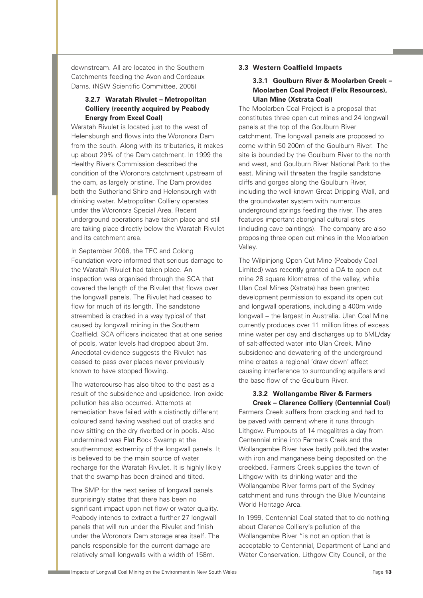downstream. All are located in the Southern Catchments feeding the Avon and Cordeaux Dams. (NSW Scientific Committee, 2005)

#### **3.2.7 Waratah Rivulet – Metropolitan Colliery (recently acquired by Peabody Energy from Excel Coal)**

Waratah Rivulet is located just to the west of Helensburgh and flows into the Woronora Dam from the south. Along with its tributaries, it makes up about 29% of the Dam catchment. In 1999 the Healthy Rivers Commission described the condition of the Woronora catchment upstream of the dam, as largely pristine. The Dam provides both the Sutherland Shire and Helensburgh with drinking water. Metropolitan Colliery operates under the Woronora Special Area. Recent underground operations have taken place and still are taking place directly below the Waratah Rivulet and its catchment area.

In September 2006, the TEC and Colong Foundation were informed that serious damage to the Waratah Rivulet had taken place. An inspection was organised through the SCA that covered the length of the Rivulet that flows over the longwall panels. The Rivulet had ceased to flow for much of its length. The sandstone streambed is cracked in a way typical of that caused by longwall mining in the Southern Coalfield. SCA officers indicated that at one series of pools, water levels had dropped about 3m. Anecdotal evidence suggests the Rivulet has ceased to pass over places never previously known to have stopped flowing.

The watercourse has also tilted to the east as a result of the subsidence and upsidence. Iron oxide pollution has also occurred. Attempts at remediation have failed with a distinctly different coloured sand having washed out of cracks and now sitting on the dry riverbed or in pools. Also undermined was Flat Rock Swamp at the southernmost extremity of the longwall panels. It is believed to be the main source of water recharge for the Waratah Rivulet. It is highly likely that the swamp has been drained and tilted.

The SMP for the next series of longwall panels surprisingly states that there has been no significant impact upon net flow or water quality. Peabody intends to extract a further 27 longwall panels that will run under the Rivulet and finish under the Woronora Dam storage area itself. The panels responsible for the current damage are relatively small longwalls with a width of 158m.

#### **3.3 Western Coalfield Impacts**

#### **3.3.1 Goulburn River & Moolarben Creek – Moolarben Coal Project (Felix Resources), Ulan Mine (Xstrata Coal)**

The Moolarben Coal Project is a proposal that constitutes three open cut mines and 24 longwall panels at the top of the Goulburn River catchment. The longwall panels are proposed to come within 50-200m of the Goulburn River. The site is bounded by the Goulburn River to the north and west, and Goulburn River National Park to the east. Mining will threaten the fragile sandstone cliffs and gorges along the Goulburn River, including the well-known Great Dripping Wall, and the groundwater system with numerous underground springs feeding the river. The area features important aboriginal cultural sites (including cave paintings). The company are also proposing three open cut mines in the Moolarben Valley.

The Wilpinjong Open Cut Mine (Peabody Coal Limited) was recently granted a DA to open cut mine 28 square kilometres of the valley, while Ulan Coal Mines (Xstrata) has been granted development permission to expand its open cut and longwall operations, including a 400m wide longwall – the largest in Australia. Ulan Coal Mine currently produces over 11 million litres of excess mine water per day and discharges up to 5ML/day of salt-affected water into Ulan Creek. Mine subsidence and dewatering of the underground mine creates a regional 'draw down' affect causing interference to surrounding aquifers and the base flow of the Goulburn River.

#### **3.3.2 Wollangambe River & Farmers Creek – Clarence Colliery (Centennial Coal)**

Farmers Creek suffers from cracking and had to be paved with cement where it runs through Lithgow. Pumpouts of 14 megalitres a day from Centennial mine into Farmers Creek and the Wollangambe River have badly polluted the water with iron and manganese being deposited on the creekbed. Farmers Creek supplies the town of Lithgow with its drinking water and the Wollangambe River forms part of the Sydney catchment and runs through the Blue Mountains World Heritage Area.

In 1999, Centennial Coal stated that to do nothing about Clarence Colliery's pollution of the Wollangambe River "is not an option that is acceptable to Centennial, Department of Land and Water Conservation, Lithgow City Council, or the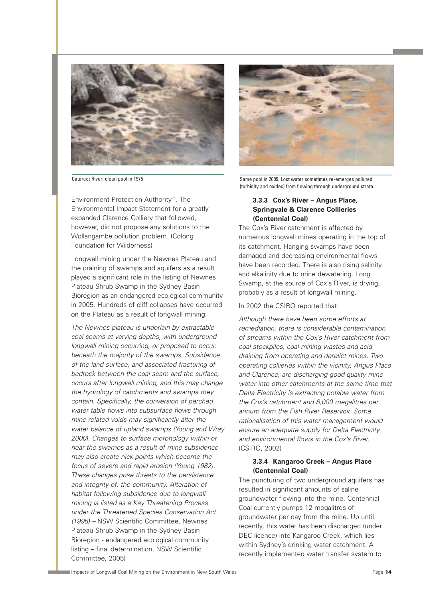

Environment Protection Authority". The Environmental Impact Statement for a greatly expanded Clarence Colliery that followed, however, did not propose any solutions to the Wollangambe pollution problem. (Colong Foundation for Wilderness)

Longwall mining under the Newnes Plateau and the draining of swamps and aquifers as a result played a significant role in the listing of Newnes Plateau Shrub Swamp in the Sydney Basin Bioregion as an endangered ecological community in 2005. Hundreds of cliff collapses have occurred on the Plateau as a result of longwall mining:

The Newnes plateau is underlain by extractable coal seams at varying depths, with underground longwall mining occurring, or proposed to occur, beneath the majority of the swamps. Subsidence of the land surface, and associated fracturing of bedrock between the coal seam and the surface, occurs after longwall mining, and this may change the hydrology of catchments and swamps they contain. Specifically, the conversion of perched water table flows into subsurface flows through mine-related voids may significantly alter the water balance of upland swamps (Young and Wray 2000). Changes to surface morphology within or near the swamps as a result of mine subsidence may also create nick points which become the focus of severe and rapid erosion (Young 1982). These changes pose threats to the persistence and integrity of, the community. Alteration of habitat following subsidence due to longwall mining is listed as a Key Threatening Process under the Threatened Species Conservation Act (1995) – NSW Scientific Committee, Newnes Plateau Shrub Swamp in the Sydney Basin Bioregion - endangered ecological community listing – final determination, NSW Scientific Committee, 2005)



Cataract River: clean pool in 1975 Same pool in 2005. Lost water sometimes re-emerges polluted (turbidity and oxides) from flowing through underground strata.

#### **3.3.3 Cox's River – Angus Place, Springvale & Clarence Collieries (Centennial Coal)**

The Cox's River catchment is affected by numerous longwall mines operating in the top of its catchment. Hanging swamps have been damaged and decreasing environmental flows have been recorded. There is also rising salinity and alkalinity due to mine dewatering. Long Swamp, at the source of Cox's River, is drying, probably as a result of longwall mining.

In 2002 the CSIRO reported that:

Although there have been some efforts at remediation, there is considerable contamination of streams within the Cox's River catchment from coal stockpiles, coal mining wastes and acid draining from operating and derelict mines. Two operating collieries within the vicinity, Angus Place and Clarence, are discharging good-quality mine water into other catchments at the same time that Delta Electricity is extracting potable water from the Cox's catchment and 8,000 megalitres per annum from the Fish River Reservoir. Some rationalisation of this water management would ensure an adequate supply for Delta Electricity and environmental flows in the Cox's River. (CSIRO, 2002)

#### **3.3.4 Kangaroo Creek – Angus Place (Centennial Coal)**

The puncturing of two underground aquifers has resulted in significant amounts of saline groundwater flowing into the mine. Centennial Coal currently pumps 12 megalitres of groundwater per day from the mine. Up until recently, this water has been discharged (under DEC licence) into Kangaroo Creek, which lies within Sydney's drinking water catchment. A recently implemented water transfer system to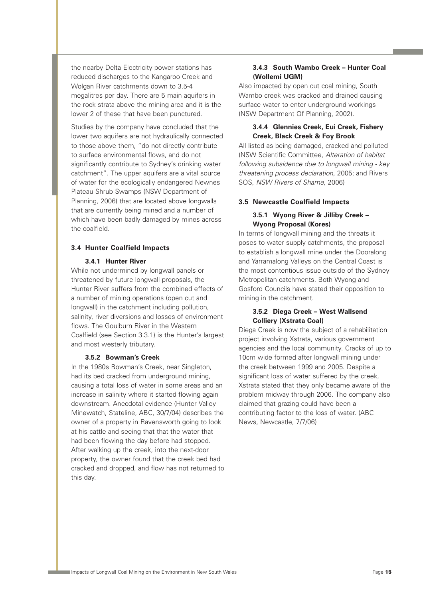the nearby Delta Electricity power stations has reduced discharges to the Kangaroo Creek and Wolgan River catchments down to 3.5-4 megalitres per day. There are 5 main aquifers in the rock strata above the mining area and it is the lower 2 of these that have been punctured.

Studies by the company have concluded that the lower two aquifers are not hydraulically connected to those above them, "do not directly contribute to surface environmental flows, and do not significantly contribute to Sydney's drinking water catchment". The upper aquifers are a vital source of water for the ecologically endangered Newnes Plateau Shrub Swamps (NSW Department of Planning, 2006) that are located above longwalls that are currently being mined and a number of which have been badly damaged by mines across the coalfield.

#### **3.4 Hunter Coalfield Impacts**

#### **3.4.1 Hunter River**

While not undermined by longwall panels or threatened by future longwall proposals, the Hunter River suffers from the combined effects of a number of mining operations (open cut and longwall) in the catchment including pollution, salinity, river diversions and losses of environment flows. The Goulburn River in the Western Coalfield (see Section 3.3.1) is the Hunter's largest and most westerly tributary.

#### **3.5.2 Bowman's Creek**

In the 1980s Bowman's Creek, near Singleton, had its bed cracked from underground mining, causing a total loss of water in some areas and an increase in salinity where it started flowing again downstream. Anecdotal evidence (Hunter Valley Minewatch, Stateline, ABC, 30/7/04) describes the owner of a property in Ravensworth going to look at his cattle and seeing that that the water that had been flowing the day before had stopped. After walking up the creek, into the next-door property, the owner found that the creek bed had cracked and dropped, and flow has not returned to this day.

#### **3.4.3 South Wambo Creek – Hunter Coal (Wollemi UGM)**

Also impacted by open cut coal mining, South Wambo creek was cracked and drained causing surface water to enter underground workings (NSW Department Of Planning, 2002).

#### **3.4.4 Glennies Creek, Eui Creek, Fishery Creek, Black Creek & Foy Brook**

All listed as being damaged, cracked and polluted (NSW Scientific Committee, Alteration of habitat following subsidence due to longwall mining - key threatening process declaration, 2005; and Rivers SOS, NSW Rivers of Shame, 2006)

#### **3.5 Newcastle Coalfield Impacts**

#### **3.5.1 Wyong River & Jilliby Creek – Wyong Proposal (Kores)**

In terms of longwall mining and the threats it poses to water supply catchments, the proposal to establish a longwall mine under the Dooralong and Yarramalong Valleys on the Central Coast is the most contentious issue outside of the Sydney Metropolitan catchments. Both Wyong and Gosford Councils have stated their opposition to mining in the catchment.

#### **3.5.2 Diega Creek – West Wallsend Colliery (Xstrata Coal)**

Diega Creek is now the subject of a rehabilitation project involving Xstrata, various government agencies and the local community. Cracks of up to 10cm wide formed after longwall mining under the creek between 1999 and 2005. Despite a significant loss of water suffered by the creek, Xstrata stated that they only became aware of the problem midway through 2006. The company also claimed that grazing could have been a contributing factor to the loss of water. (ABC News, Newcastle, 7/7/06)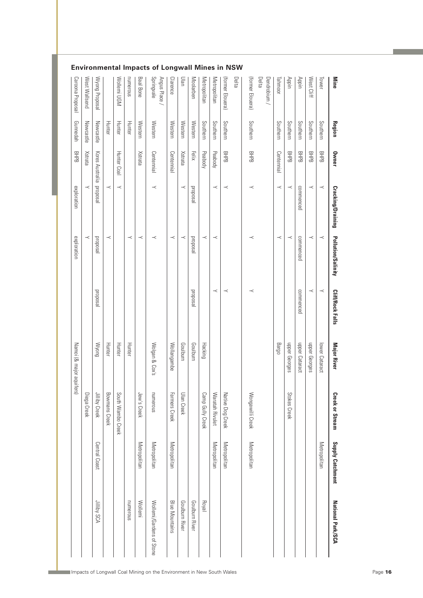| <b>Mine</b>               | Region    | Owner                   | Cracking/Draining | Pollution/Salinity | <b>Cliff/Rock Falls</b> | <b>Major River</b>       | <b>Creek or Stream</b> | Supply Catchment | National Park/SCA        |
|---------------------------|-----------|-------------------------|-------------------|--------------------|-------------------------|--------------------------|------------------------|------------------|--------------------------|
| Tower                     | Southern  | <b>BHPB</b>             | $\prec$           | $\prec$            | $\prec$                 | lower Cataract           |                        | Metropolitan     |                          |
| West Cliff                | Southern  | 모<br>문                  | ≺                 | ≺                  | $\prec$                 | dpper Georges            |                        |                  |                          |
| Appin                     | Southern  | 모<br>문                  | commenced         | commenced          | commenced               | upper Cataract           |                        |                  |                          |
| Appin                     | Southern  | 모<br>문                  | $\prec$           | $\prec$            |                         | nbber Georges            | Stokes Creek           |                  |                          |
| Tahmoor                   | Southern  | Centennial              | $\prec$           | $\prec$            |                         | Bargo                    |                        |                  |                          |
| Delta<br>Dendrobium/      |           |                         |                   |                    |                         |                          |                        |                  |                          |
| (former Elouera)          | Southern  | 모<br>문                  | $\prec$           | $\prec$            | $\prec$                 |                          | Wongawilli Creek       | Metropolitan     |                          |
| Delta                     |           |                         |                   |                    |                         |                          |                        |                  |                          |
| (former Elouera)          | Southern  | <b>BHPB</b>             | $\prec$           |                    | $\prec$                 |                          | Native Dog Creek       | Metropolitan     |                          |
| Metropolitan              | Southern  | Peabody                 | $\prec$           | $\prec$            | $\prec$                 |                          | Waratah Rivulet        | Metropolitan     |                          |
| Metropolitan              | Southern  | Peabody                 |                   | $\prec$            |                         | Hacking                  | Camp Gully Creek       |                  | Royal                    |
| Moolarben                 | Western   | Felix                   | proposal          | proposal           | psodoud                 | Goulburn                 |                        |                  | Goulburn River           |
| Ulan                      | Western   | Xstrata                 | $\prec$           | $\prec$            |                         | Goulburn                 | Ulan Creek             |                  | Goulburn River           |
| Clarence                  | Western   | Centennial              |                   | $\prec$            |                         | Wollangambe              | Farmers Creek          | Metropolitan     | <b>Blue Mountains</b>    |
| Springvale<br>Angus Place | Western   | Centennial              | $\prec$           | $\prec$            |                         | Wolgan & Cox's           | numerous               | Metropolitan     | Wollemi/Gardens of Stone |
| <b>Baal Bone</b>          | Western   | Xstrata                 |                   | $\prec$            |                         |                          | Jew's Creek            | Metropolitan     | Wollemi                  |
| numerous                  | Hunter    |                         |                   | $\prec$            |                         | Hunter                   |                        |                  | numerous                 |
| Wollemi UGM               | Hunter    | Hunter Coal             | $\prec$           |                    |                         | Hunter                   | South Wambo Creek      |                  |                          |
|                           | Hunter    |                         | $\prec$           | $\prec$            |                         | Hunter                   | Bowmans Creek          |                  |                          |
| Wyong Proposal            | Newcastle | Kores Australia proposa |                   | <b>Proposal</b>    | <b>Pesodoud</b>         | <b>Myong</b>             | Jilliby Creek          | Central Coast    | Jilliby SCA              |
| West Wallsend             | Newcastle | <b>Strata</b>           | $\prec$           | $\prec$            |                         |                          | Diega Creek            |                  |                          |
| <b>Caroona Proposal</b>   | Gunnedah  | 모<br>문                  | exploration       | exploration        |                         | Namoi (& major aquifers) |                        |                  |                          |

#### **Environmental Impacts of Longwall Mines in NSW**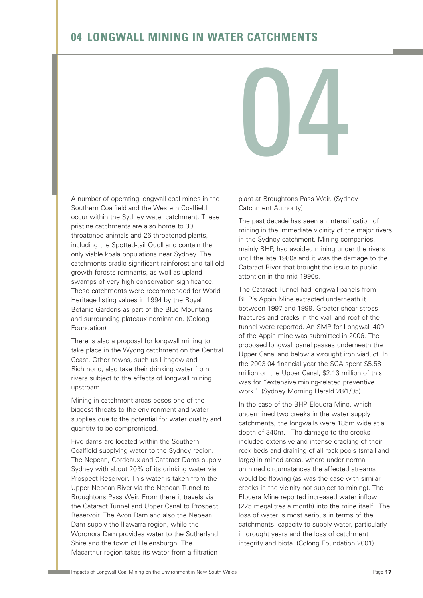# **04 LONGWALL MINING IN WATER CATCHMENTS**

A number of operating longwall coal mines in the Southern Coalfield and the Western Coalfield occur within the Sydney water catchment. These pristine catchments are also home to 30 threatened animals and 26 threatened plants, including the Spotted-tail Quoll and contain the only viable koala populations near Sydney. The catchments cradle significant rainforest and tall old growth forests remnants, as well as upland swamps of very high conservation significance. These catchments were recommended for World Heritage listing values in 1994 by the Royal Botanic Gardens as part of the Blue Mountains and surrounding plateaux nomination. (Colong Foundation)

There is also a proposal for longwall mining to take place in the Wyong catchment on the Central Coast. Other towns, such us Lithgow and Richmond, also take their drinking water from rivers subject to the effects of longwall mining upstream.

Mining in catchment areas poses one of the biggest threats to the environment and water supplies due to the potential for water quality and quantity to be compromised.

Five dams are located within the Southern Coalfield supplying water to the Sydney region. The Nepean, Cordeaux and Cataract Dams supply Sydney with about 20% of its drinking water via Prospect Reservoir. This water is taken from the Upper Nepean River via the Nepean Tunnel to Broughtons Pass Weir. From there it travels via the Cataract Tunnel and Upper Canal to Prospect Reservoir. The Avon Dam and also the Nepean Dam supply the Illawarra region, while the Woronora Dam provides water to the Sutherland Shire and the town of Helensburgh. The Macarthur region takes its water from a filtration

plant at Broughtons Pass Weir. (Sydney Catchment Authority)

04

The past decade has seen an intensification of mining in the immediate vicinity of the major rivers in the Sydney catchment. Mining companies, mainly BHP, had avoided mining under the rivers until the late 1980s and it was the damage to the Cataract River that brought the issue to public attention in the mid 1990s.

The Cataract Tunnel had longwall panels from BHP's Appin Mine extracted underneath it between 1997 and 1999. Greater shear stress fractures and cracks in the wall and roof of the tunnel were reported. An SMP for Longwall 409 of the Appin mine was submitted in 2006. The proposed longwall panel passes underneath the Upper Canal and below a wrought iron viaduct. In the 2003-04 financial year the SCA spent \$5.58 million on the Upper Canal; \$2.13 million of this was for "extensive mining-related preventive work". (Sydney Morning Herald 28/1/05)

In the case of the BHP Elouera Mine, which undermined two creeks in the water supply catchments, the longwalls were 185m wide at a depth of 340m. The damage to the creeks included extensive and intense cracking of their rock beds and draining of all rock pools (small and large) in mined areas, where under normal unmined circumstances the affected streams would be flowing (as was the case with similar creeks in the vicinity not subject to mining). The Elouera Mine reported increased water inflow (225 megalitres a month) into the mine itself. The loss of water is most serious in terms of the catchments' capacity to supply water, particularly in drought years and the loss of catchment integrity and biota. (Colong Foundation 2001)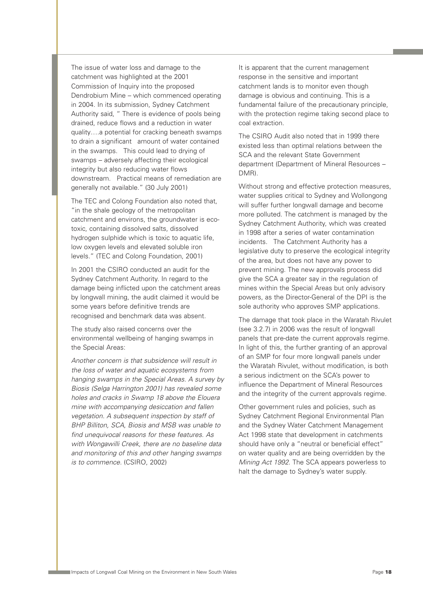The issue of water loss and damage to the catchment was highlighted at the 2001 Commission of Inquiry into the proposed Dendrobium Mine – which commenced operating in 2004. In its submission, Sydney Catchment Authority said, " There is evidence of pools being drained, reduce flows and a reduction in water quality….a potential for cracking beneath swamps to drain a significant amount of water contained in the swamps. This could lead to drying of swamps – adversely affecting their ecological integrity but also reducing water flows downstream. Practical means of remediation are generally not available." (30 July 2001)

The TEC and Colong Foundation also noted that, "in the shale geology of the metropolitan catchment and environs, the groundwater is ecotoxic, containing dissolved salts, dissolved hydrogen sulphide which is toxic to aquatic life, low oxygen levels and elevated soluble iron levels." (TEC and Colong Foundation, 2001)

In 2001 the CSIRO conducted an audit for the Sydney Catchment Authority. In regard to the damage being inflicted upon the catchment areas by longwall mining, the audit claimed it would be some years before definitive trends are recognised and benchmark data was absent.

The study also raised concerns over the environmental wellbeing of hanging swamps in the Special Areas:

Another concern is that subsidence will result in the loss of water and aquatic ecosystems from hanging swamps in the Special Areas. A survey by Biosis (Selga Harrington 2001) has revealed some holes and cracks in Swamp 18 above the Elouera mine with accompanying desiccation and fallen vegetation. A subsequent inspection by staff of BHP Billiton, SCA, Biosis and MSB was unable to find unequivocal reasons for these features. As with Wongawilli Creek, there are no baseline data and monitoring of this and other hanging swamps is to commence. (CSIRO, 2002)

It is apparent that the current management response in the sensitive and important catchment lands is to monitor even though damage is obvious and continuing. This is a fundamental failure of the precautionary principle, with the protection regime taking second place to coal extraction.

The CSIRO Audit also noted that in 1999 there existed less than optimal relations between the SCA and the relevant State Government department (Department of Mineral Resources – DMR).

Without strong and effective protection measures, water supplies critical to Sydney and Wollongong will suffer further longwall damage and become more polluted. The catchment is managed by the Sydney Catchment Authority, which was created in 1998 after a series of water contamination incidents. The Catchment Authority has a legislative duty to preserve the ecological integrity of the area, but does not have any power to prevent mining. The new approvals process did give the SCA a greater say in the regulation of mines within the Special Areas but only advisory powers, as the Director-General of the DPI is the sole authority who approves SMP applications.

The damage that took place in the Waratah Rivulet (see 3.2.7) in 2006 was the result of longwall panels that pre-date the current approvals regime. In light of this, the further granting of an approval of an SMP for four more longwall panels under the Waratah Rivulet, without modification, is both a serious indictment on the SCA's power to influence the Department of Mineral Resources and the integrity of the current approvals regime.

Other government rules and policies, such as Sydney Catchment Regional Environmental Plan and the Sydney Water Catchment Management Act 1998 state that development in catchments should have only a "neutral or beneficial effect" on water quality and are being overridden by the Mining Act 1992. The SCA appears powerless to halt the damage to Sydney's water supply.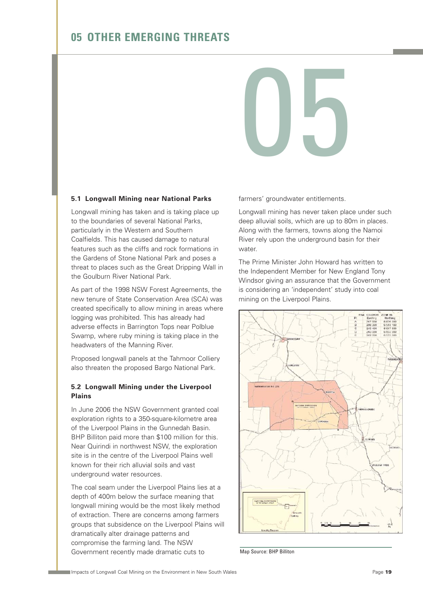# **05 OTHER EMERGING THREATS**

# 05

#### **5.1 Longwall Mining near National Parks**

Longwall mining has taken and is taking place up to the boundaries of several National Parks, particularly in the Western and Southern Coalfields. This has caused damage to natural features such as the cliffs and rock formations in the Gardens of Stone National Park and poses a threat to places such as the Great Dripping Wall in the Goulburn River National Park.

As part of the 1998 NSW Forest Agreements, the new tenure of State Conservation Area (SCA) was created specifically to allow mining in areas where logging was prohibited. This has already had adverse effects in Barrington Tops near Polblue Swamp, where ruby mining is taking place in the headwaters of the Manning River.

Proposed longwall panels at the Tahmoor Colliery also threaten the proposed Bargo National Park.

#### **5.2 Longwall Mining under the Liverpool Plains**

In June 2006 the NSW Government granted coal exploration rights to a 350-square-kilometre area of the Liverpool Plains in the Gunnedah Basin. BHP Billiton paid more than \$100 million for this. Near Quirindi in northwest NSW, the exploration site is in the centre of the Liverpool Plains well known for their rich alluvial soils and vast underground water resources.

The coal seam under the Liverpool Plains lies at a depth of 400m below the surface meaning that longwall mining would be the most likely method of extraction. There are concerns among farmers groups that subsidence on the Liverpool Plains will dramatically alter drainage patterns and compromise the farming land. The NSW Government recently made dramatic cuts to

farmers' groundwater entitlements.

Longwall mining has never taken place under such deep alluvial soils, which are up to 80m in places. Along with the farmers, towns along the Namoi River rely upon the underground basin for their water.

The Prime Minister John Howard has written to the Independent Member for New England Tony Windsor giving an assurance that the Government is considering an 'independent' study into coal mining on the Liverpool Plains.



Map Source: BHP Billiton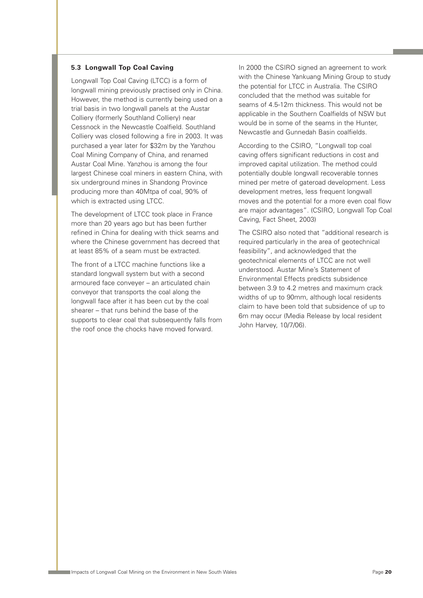#### **5.3 Longwall Top Coal Caving**

Longwall Top Coal Caving (LTCC) is a form of longwall mining previously practised only in China. However, the method is currently being used on a trial basis in two longwall panels at the Austar Colliery (formerly Southland Colliery) near Cessnock in the Newcastle Coalfield. Southland Colliery was closed following a fire in 2003. It was purchased a year later for \$32m by the Yanzhou Coal Mining Company of China, and renamed Austar Coal Mine. Yanzhou is among the four largest Chinese coal miners in eastern China, with six underground mines in Shandong Province producing more than 40Mtpa of coal, 90% of which is extracted using LTCC.

The development of LTCC took place in France more than 20 years ago but has been further refined in China for dealing with thick seams and where the Chinese government has decreed that at least 85% of a seam must be extracted.

The front of a LTCC machine functions like a standard longwall system but with a second armoured face conveyer – an articulated chain conveyor that transports the coal along the longwall face after it has been cut by the coal shearer – that runs behind the base of the supports to clear coal that subsequently falls from the roof once the chocks have moved forward.

In 2000 the CSIRO signed an agreement to work with the Chinese Yankuang Mining Group to study the potential for LTCC in Australia. The CSIRO concluded that the method was suitable for seams of 4.5-12m thickness. This would not be applicable in the Southern Coalfields of NSW but would be in some of the seams in the Hunter, Newcastle and Gunnedah Basin coalfields.

According to the CSIRO, "Longwall top coal caving offers significant reductions in cost and improved capital utilization. The method could potentially double longwall recoverable tonnes mined per metre of gateroad development. Less development metres, less frequent longwall moves and the potential for a more even coal flow are major advantages". (CSIRO, Longwall Top Coal Caving, Fact Sheet, 2003)

The CSIRO also noted that "additional research is required particularly in the area of geotechnical feasibility", and acknowledged that the geotechnical elements of LTCC are not well understood. Austar Mine's Statement of Environmental Effects predicts subsidence between 3.9 to 4.2 metres and maximum crack widths of up to 90mm, although local residents claim to have been told that subsidence of up to 6m may occur (Media Release by local resident John Harvey, 10/7/06).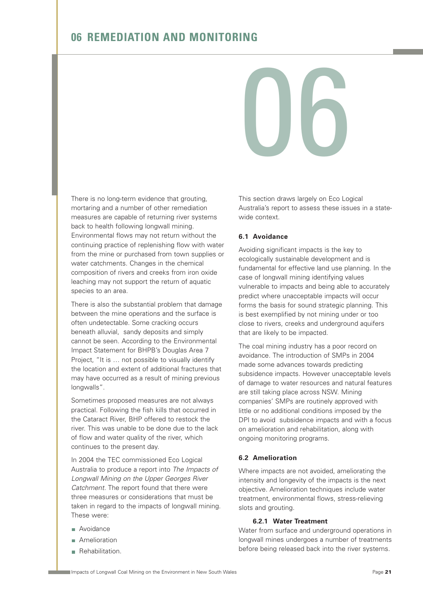# **06 REMEDIATION AND MONITORING**

06

There is no long-term evidence that grouting, mortaring and a number of other remediation measures are capable of returning river systems back to health following longwall mining. Environmental flows may not return without the continuing practice of replenishing flow with water from the mine or purchased from town supplies or water catchments. Changes in the chemical composition of rivers and creeks from iron oxide leaching may not support the return of aquatic species to an area.

There is also the substantial problem that damage between the mine operations and the surface is often undetectable. Some cracking occurs beneath alluvial, sandy deposits and simply cannot be seen. According to the Environmental Impact Statement for BHPB's Douglas Area 7 Project, "It is … not possible to visually identify the location and extent of additional fractures that may have occurred as a result of mining previous longwalls".

Sometimes proposed measures are not always practical. Following the fish kills that occurred in the Cataract River, BHP offered to restock the river. This was unable to be done due to the lack of flow and water quality of the river, which continues to the present day.

In 2004 the TEC commissioned Eco Logical Australia to produce a report into The Impacts of Longwall Mining on the Upper Georges River Catchment. The report found that there were three measures or considerations that must be taken in regard to the impacts of longwall mining. These were:

- **Avoidance**
- **Amelioration**
- **Rehabilitation.**

This section draws largely on Eco Logical Australia's report to assess these issues in a statewide context.

#### **6.1 Avoidance**

Avoiding significant impacts is the key to ecologically sustainable development and is fundamental for effective land use planning. In the case of longwall mining identifying values vulnerable to impacts and being able to accurately predict where unacceptable impacts will occur forms the basis for sound strategic planning. This is best exemplified by not mining under or too close to rivers, creeks and underground aquifers that are likely to be impacted.

The coal mining industry has a poor record on avoidance. The introduction of SMPs in 2004 made some advances towards predicting subsidence impacts. However unacceptable levels of damage to water resources and natural features are still taking place across NSW. Mining companies' SMPs are routinely approved with little or no additional conditions imposed by the DPI to avoid subsidence impacts and with a focus on amelioration and rehabilitation, along with ongoing monitoring programs.

#### **6.2 Amelioration**

Where impacts are not avoided, ameliorating the intensity and longevity of the impacts is the next objective. Amelioration techniques include water treatment, environmental flows, stress-relieving slots and grouting.

#### **6.2.1 Water Treatment**

Water from surface and underground operations in longwall mines undergoes a number of treatments before being released back into the river systems.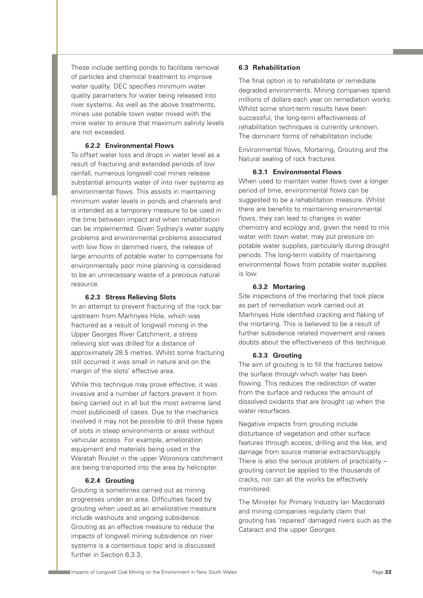These include settling ponds to facilitate removal of particles and chemical treatment to improve water quality. DEC specifies minimum water quality parameters for water being released into river systems. As well as the above treatments, mines use potable town water mixed with the mine water to ensure that maximum salinity levels are not exceeded.

#### **6.2.2 Environmental Flows**

To offset water loss and drops in water level as a result of fracturing and extended periods of low rainfall, numerous longwall coal mines release substantial amounts water of into river systems as environmental flows. This assists in maintaining minimum water levels in ponds and channels and is intended as a temporary measure to be used in the time between impact and when rehabilitation can be implemented. Given Sydney's water supply problems and environmental problems associated with low flow in dammed rivers, the release of large amounts of potable water to compensate for environmentally poor mine planning is considered to be an unnecessary waste of a precious natural resource.

#### **6.2.3 Stress Relieving Slots**

In an attempt to prevent fracturing of the rock bar upstream from Marhnyes Hole, which was fractured as a result of longwall mining in the Upper Georges River Catchment, a stress relieving slot was drilled for a distance of approximately 28.5 metres. Whilst some fracturing still occurred it was small in nature and on the margin of the slots' effective area.

While this technique may prove effective, it was invasive and a number of factors prevent it from being carried out in all but the most extreme (and most publicised) of cases. Due to the mechanics involved it may not be possible to drill these types of slots in steep environments or areas without vehicular access. For example, amelioration equipment and materials being used in the Waratah Rivulet in the upper Woronora catchment are being transported into the area by helicopter.

#### **6.2.4 Grouting**

Grouting is sometimes carried out as mining progresses under an area. Difficulties faced by grouting when used as an ameliorative measure include washouts and ongoing subsidence. Grouting as an effective measure to reduce the impacts of longwall mining subsidence on river systems is a contentious topic and is discussed further in Section 6.3.3.

#### **6.3 Rehabilitation**

The final option is to rehabilitate or remediate degraded environments. Mining companies spend millions of dollars each year on remediation works. Whilst some short-term results have been successful, the long-term effectiveness of rehabilitation techniques is currently unknown. The dominant forms of rehabilitation include:

Environmental flows, Mortaring, Grouting and the Natural sealing of rock fractures.

#### **6.3.1 Environmental Flows**

When used to maintain water flows over a longer period of time, environmental flows can be suggested to be a rehabilitation measure. Whilst there are benefits to maintaining environmental flows, they can lead to changes in water chemistry and ecology and, given the need to mix water with town water, may put pressure on potable water supplies, particularly during drought periods. The long-term viability of maintaining environmental flows from potable water supplies is low.

#### **6.3.2 Mortaring**

Site inspections of the mortaring that took place as part of remediation work carried out at Marhnyes Hole identified cracking and flaking of the mortaring. This is believed to be a result of further subsidence related movement and raises doubts about the effectiveness of this technique.

#### **6.3.3 Grouting**

The aim of grouting is to fill the fractures below the surface through which water has been flowing. This reduces the redirection of water from the surface and reduces the amount of dissolved oxidants that are brought up when the water resurfaces.

Negative impacts from grouting include disturbance of vegetation and other surface features through access, drilling and the like, and damage from source material extraction/supply There is also the serious problem of practicality – grouting cannot be applied to the thousands of cracks, nor can all the works be effectively monitored.

The Minister for Primary Industry Ian Macdonald and mining companies regularly claim that grouting has 'repaired' damaged rivers such as the Cataract and the upper Georges.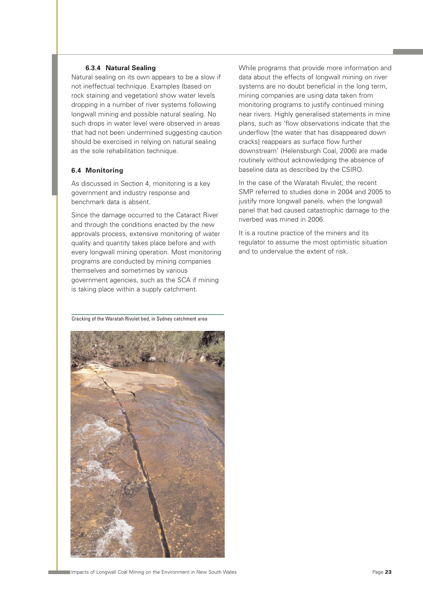#### **6.3.4 Natural Sealing**

Natural sealing on its own appears to be a slow if not ineffectual technique. Examples (based on rock staining and vegetation) show water levels dropping in a number of river systems following longwall mining and possible natural sealing. No such drops in water level were observed in areas that had not been undermined suggesting caution should be exercised in relying on natural sealing as the sole rehabilitation technique.

#### **6.4 Monitoring**

As discussed in Section 4, monitoring is a key government and industry response and benchmark data is absent.

Since the damage occurred to the Cataract River and through the conditions enacted by the new approvals process, extensive monitoring of water quality and quantity takes place before and with every longwall mining operation. Most monitoring programs are conducted by mining companies themselves and sometimes by various government agencies, such as the SCA if mining is taking place within a supply catchment.

While programs that provide more information and data about the effects of longwall mining on river systems are no doubt beneficial in the long term, mining companies are using data taken from monitoring programs to justify continued mining near rivers. Highly generalised statements in mine plans, such as 'flow observations indicate that the underflow [the water that has disappeared down cracks] reappears as surface flow further downstream' (Helensburgh Coal, 2006) are made routinely without acknowledging the absence of baseline data as described by the CSIRO.

In the case of the Waratah Rivulet, the recent SMP referred to studies done in 2004 and 2005 to justify more longwall panels, when the longwall panel that had caused catastrophic damage to the riverbed was mined in 2006.

It is a routine practice of the miners and its regulator to assume the most optimistic situation and to undervalue the extent of risk.

Cracking of the Waratah Rivulet bed, in Sydney catchment area

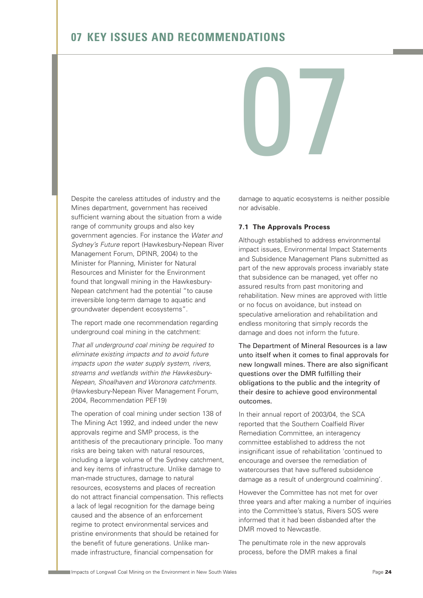# **07 KEY ISSUES AND RECOMMENDATIONS**

Despite the careless attitudes of industry and the Mines department, government has received sufficient warning about the situation from a wide range of community groups and also key government agencies. For instance the Water and Sydney's Future report (Hawkesbury-Nepean River Management Forum, DPINR, 2004) to the Minister for Planning, Minister for Natural Resources and Minister for the Environment found that longwall mining in the Hawkesbury-Nepean catchment had the potential "to cause irreversible long-term damage to aquatic and groundwater dependent ecosystems".

The report made one recommendation regarding underground coal mining in the catchment:

That all underground coal mining be required to eliminate existing impacts and to avoid future impacts upon the water supply system, rivers, streams and wetlands within the Hawkesbury-Nepean, Shoalhaven and Woronora catchments. (Hawkesbury-Nepean River Management Forum, 2004, Recommendation PEF19)

The operation of coal mining under section 138 of The Mining Act 1992, and indeed under the new approvals regime and SMP process, is the antithesis of the precautionary principle. Too many risks are being taken with natural resources, including a large volume of the Sydney catchment, and key items of infrastructure. Unlike damage to man-made structures, damage to natural resources, ecosystems and places of recreation do not attract financial compensation. This reflects a lack of legal recognition for the damage being caused and the absence of an enforcement regime to protect environmental services and pristine environments that should be retained for the benefit of future generations. Unlike manmade infrastructure, financial compensation for

damage to aquatic ecosystems is neither possible nor advisable.

#### **7.1 The Approvals Process**

07

Although established to address environmental impact issues, Environmental Impact Statements and Subsidence Management Plans submitted as part of the new approvals process invariably state that subsidence can be managed, yet offer no assured results from past monitoring and rehabilitation. New mines are approved with little or no focus on avoidance, but instead on speculative amelioration and rehabilitation and endless monitoring that simply records the damage and does not inform the future.

The Department of Mineral Resources is a law unto itself when it comes to final approvals for new longwall mines. There are also significant questions over the DMR fulfilling their obligations to the public and the integrity of their desire to achieve good environmental outcomes.

In their annual report of 2003/04, the SCA reported that the Southern Coalfield River Remediation Committee, an interagency committee established to address the not insignificant issue of rehabilitation 'continued to encourage and oversee the remediation of watercourses that have suffered subsidence damage as a result of underground coalmining'.

However the Committee has not met for over three years and after making a number of inquiries into the Committee's status, Rivers SOS were informed that it had been disbanded after the DMR moved to Newcastle.

The penultimate role in the new approvals process, before the DMR makes a final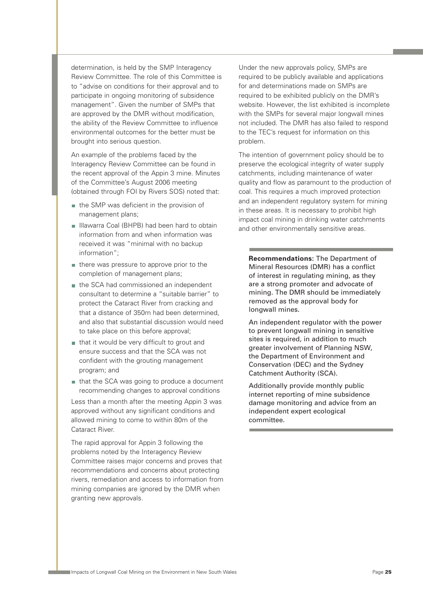determination, is held by the SMP Interagency Review Committee. The role of this Committee is to "advise on conditions for their approval and to participate in ongoing monitoring of subsidence management". Given the number of SMPs that are approved by the DMR without modification, the ability of the Review Committee to influence environmental outcomes for the better must be brought into serious question.

An example of the problems faced by the Interagency Review Committee can be found in the recent approval of the Appin 3 mine. Minutes of the Committee's August 2006 meeting (obtained through FOI by Rivers SOS) noted that:

- the SMP was deficient in the provision of management plans;
- Illawarra Coal (BHPB) had been hard to obtain information from and when information was received it was "minimal with no backup information";
- there was pressure to approve prior to the completion of management plans;
- the SCA had commissioned an independent consultant to determine a "suitable barrier" to protect the Cataract River from cracking and that a distance of 350m had been determined, and also that substantial discussion would need to take place on this before approval;
- that it would be very difficult to grout and ensure success and that the SCA was not confident with the grouting management program; and
- that the SCA was going to produce a document recommending changes to approval conditions

Less than a month after the meeting Appin 3 was approved without any significant conditions and allowed mining to come to within 80m of the Cataract River.

The rapid approval for Appin 3 following the problems noted by the Interagency Review Committee raises major concerns and proves that recommendations and concerns about protecting rivers, remediation and access to information from mining companies are ignored by the DMR when granting new approvals.

Under the new approvals policy, SMPs are required to be publicly available and applications for and determinations made on SMPs are required to be exhibited publicly on the DMR's website. However, the list exhibited is incomplete with the SMPs for several major longwall mines not included. The DMR has also failed to respond to the TEC's request for information on this problem.

The intention of government policy should be to preserve the ecological integrity of water supply catchments, including maintenance of water quality and flow as paramount to the production of coal. This requires a much improved protection and an independent regulatory system for mining in these areas. It is necessary to prohibit high impact coal mining in drinking water catchments and other environmentally sensitive areas.

**Recommendations:** The Department of Mineral Resources (DMR) has a conflict of interest in regulating mining, as they are a strong promoter and advocate of mining. The DMR should be immediately removed as the approval body for longwall mines.

An independent regulator with the power to prevent longwall mining in sensitive sites is required, in addition to much greater involvement of Planning NSW, the Department of Environment and Conservation (DEC) and the Sydney Catchment Authority (SCA).

Additionally provide monthly public internet reporting of mine subsidence damage monitoring and advice from an independent expert ecological committee.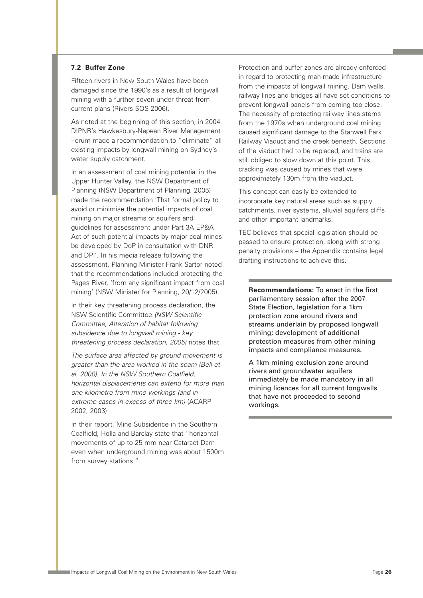#### **7.2 Buffer Zone**

Fifteen rivers in New South Wales have been damaged since the 1990's as a result of longwall mining with a further seven under threat from current plans (Rivers SOS 2006).

As noted at the beginning of this section, in 2004 DIPNR's Hawkesbury-Nepean River Management Forum made a recommendation to "eliminate" all existing impacts by longwall mining on Sydney's water supply catchment.

In an assessment of coal mining potential in the Upper Hunter Valley, the NSW Department of Planning (NSW Department of Planning, 2005) made the recommendation 'That formal policy to avoid or minimise the potential impacts of coal mining on major streams or aquifers and guidelines for assessment under Part 3A EP&A Act of such potential impacts by major coal mines be developed by DoP in consultation with DNR and DPI'. In his media release following the assessment, Planning Minister Frank Sartor noted that the recommendations included protecting the Pages River, 'from any significant impact from coal mining' (NSW Minister for Planning, 20/12/2005).

In their key threatening process declaration, the NSW Scientific Committee (NSW Scientific Committee, Alteration of habitat following subsidence due to longwall mining - key threatening process declaration, 2005) notes that:

The surface area affected by ground movement is greater than the area worked in the seam (Bell et al. 2000). In the NSW Southern Coalfield, horizontal displacements can extend for more than one kilometre from mine workings (and in extreme cases in excess of three km) (ACARP 2002, 2003)

In their report, Mine Subsidence in the Southern Coalfield, Holla and Barclay state that "horizontal movements of up to 25 mm near Cataract Dam even when underground mining was about 1500m from survey stations."

Protection and buffer zones are already enforced in regard to protecting man-made infrastructure from the impacts of longwall mining. Dam walls, railway lines and bridges all have set conditions to prevent longwall panels from coming too close. The necessity of protecting railway lines stems from the 1970s when underground coal mining caused significant damage to the Stanwell Park Railway Viaduct and the creek beneath. Sections of the viaduct had to be replaced, and trains are still obliged to slow down at this point. This cracking was caused by mines that were approximately 130m from the viaduct.

This concept can easily be extended to incorporate key natural areas such as supply catchments, river systems, alluvial aquifers cliffs and other important landmarks.

TEC believes that special legislation should be passed to ensure protection, along with strong penalty provisions – the Appendix contains legal drafting instructions to achieve this.

**Recommendations:** To enact in the first parliamentary session after the 2007 State Election, legislation for a 1km protection zone around rivers and streams underlain by proposed longwall mining; development of additional protection measures from other mining impacts and compliance measures.

A 1km mining exclusion zone around rivers and groundwater aquifers immediately be made mandatory in all mining licences for all current longwalls that have not proceeded to second workings.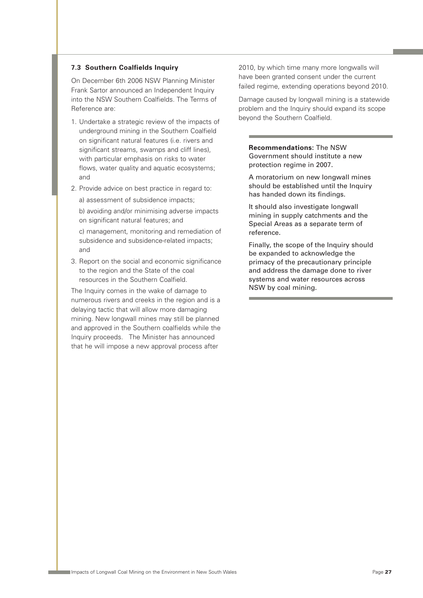#### **7.3 Southern Coalfields Inquiry**

On December 6th 2006 NSW Planning Minister Frank Sartor announced an Independent Inquiry into the NSW Southern Coalfields. The Terms of Reference are:

- 1. Undertake a strategic review of the impacts of underground mining in the Southern Coalfield on significant natural features (i.e. rivers and significant streams, swamps and cliff lines), with particular emphasis on risks to water flows, water quality and aquatic ecosystems; and
- 2. Provide advice on best practice in regard to: a) assessment of subsidence impacts; b) avoiding and/or minimising adverse impacts on significant natural features; and c) management, monitoring and remediation of subsidence and subsidence-related impacts; and
- 3. Report on the social and economic significance to the region and the State of the coal resources in the Southern Coalfield.

The Inquiry comes in the wake of damage to numerous rivers and creeks in the region and is a delaying tactic that will allow more damaging mining. New longwall mines may still be planned and approved in the Southern coalfields while the Inquiry proceeds. The Minister has announced that he will impose a new approval process after

2010, by which time many more longwalls will have been granted consent under the current failed regime, extending operations beyond 2010.

Damage caused by longwall mining is a statewide problem and the Inquiry should expand its scope beyond the Southern Coalfield.

**Recommendations:** The NSW Government should institute a new protection regime in 2007.

A moratorium on new longwall mines should be established until the Inquiry has handed down its findings.

It should also investigate longwall mining in supply catchments and the Special Areas as a separate term of reference.

Finally, the scope of the Inquiry should be expanded to acknowledge the primacy of the precautionary principle and address the damage done to river systems and water resources across NSW by coal mining.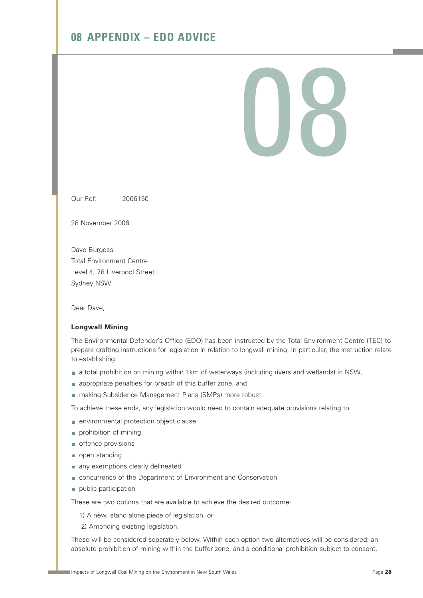# **08 APPENDIX – EDO ADVICE**

# 118

Our Ref: 2006150

28 November 2006

Dave Burgess Total Environment Centre Level 4, 78 Liverpool Street Sydney NSW

Dear Dave,

#### **Longwall Mining**

The Environmental Defender's Office (EDO) has been instructed by the Total Environment Centre (TEC) to prepare drafting instructions for legislation in relation to longwall mining. In particular, the instruction relate to establishing:

- a total prohibition on mining within 1km of waterways (including rivers and wetlands) in NSW,
- **n** appropriate penalties for breach of this buffer zone, and
- making Subsidence Management Plans (SMPs) more robust.

To achieve these ends, any legislation would need to contain adequate provisions relating to:

- environmental protection object clause
- prohibition of mining
- offence provisions
- open standing
- any exemptions clearly delineated
- concurrence of the Department of Environment and Conservation
- public participation

These are two options that are available to achieve the desired outcome:

1) A new, stand alone piece of legislation, or

2) Amending existing legislation.

These will be considered separately below. Within each option two alternatives will be considered: an absolute prohibition of mining within the buffer zone, and a conditional prohibition subject to consent.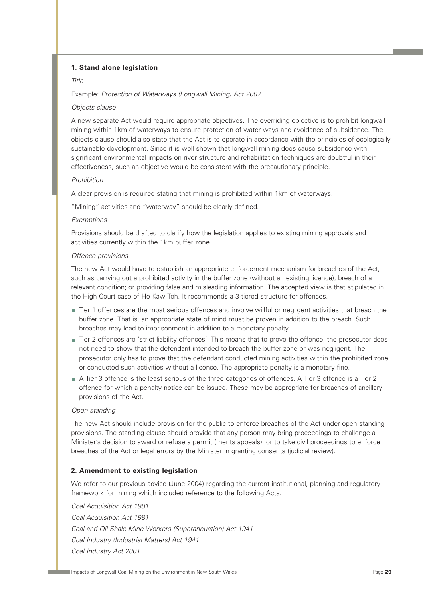#### **1. Stand alone legislation**

#### Title

Example: Protection of Waterways (Longwall Mining) Act 2007.

#### Objects clause

A new separate Act would require appropriate objectives. The overriding objective is to prohibit longwall mining within 1km of waterways to ensure protection of water ways and avoidance of subsidence. The objects clause should also state that the Act is to operate in accordance with the principles of ecologically sustainable development. Since it is well shown that longwall mining does cause subsidence with significant environmental impacts on river structure and rehabilitation techniques are doubtful in their effectiveness, such an objective would be consistent with the precautionary principle.

#### Prohibition

A clear provision is required stating that mining is prohibited within 1km of waterways.

"Mining" activities and "waterway" should be clearly defined.

#### Exemptions

Provisions should be drafted to clarify how the legislation applies to existing mining approvals and activities currently within the 1km buffer zone.

#### Offence provisions

The new Act would have to establish an appropriate enforcement mechanism for breaches of the Act, such as carrying out a prohibited activity in the buffer zone (without an existing licence); breach of a relevant condition; or providing false and misleading information. The accepted view is that stipulated in the High Court case of He Kaw Teh. It recommends a 3-tiered structure for offences.

- Tier 1 offences are the most serious offences and involve willful or negligent activities that breach the buffer zone. That is, an appropriate state of mind must be proven in addition to the breach. Such breaches may lead to imprisonment in addition to a monetary penalty.
- Tier 2 offences are 'strict liability offences'. This means that to prove the offence, the prosecutor does not need to show that the defendant intended to breach the buffer zone or was negligent. The prosecutor only has to prove that the defendant conducted mining activities within the prohibited zone, or conducted such activities without a licence. The appropriate penalty is a monetary fine.
- A Tier 3 offence is the least serious of the three categories of offences. A Tier 3 offence is a Tier 2 offence for which a penalty notice can be issued. These may be appropriate for breaches of ancillary provisions of the Act.

#### Open standing

The new Act should include provision for the public to enforce breaches of the Act under open standing provisions. The standing clause should provide that any person may bring proceedings to challenge a Minister's decision to award or refuse a permit (merits appeals), or to take civil proceedings to enforce breaches of the Act or legal errors by the Minister in granting consents (judicial review).

#### **2. Amendment to existing legislation**

We refer to our previous advice (June 2004) regarding the current institutional, planning and regulatory framework for mining which included reference to the following Acts:

Coal Acquisition Act 1981 Coal Acquisition Act 1981 Coal and Oil Shale Mine Workers (Superannuation) Act 1941 Coal Industry (Industrial Matters) Act 1941 Coal Industry Act 2001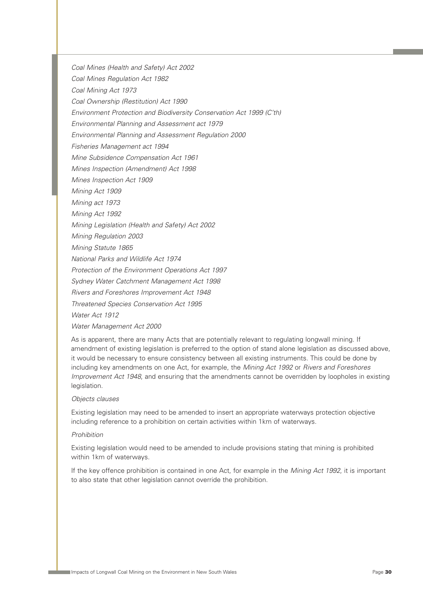Coal Mines (Health and Safety) Act 2002

Coal Mines Regulation Act 1982

Coal Mining Act 1973

Coal Ownership (Restitution) Act 1990

Environment Protection and Biodiversity Conservation Act 1999 (C'th)

Environmental Planning and Assessment act 1979

Environmental Planning and Assessment Regulation 2000

Fisheries Management act 1994

Mine Subsidence Compensation Act 1961

Mines Inspection (Amendment) Act 1998

Mines Inspection Act 1909

Mining Act 1909

Mining act 1973

Mining Act 1992

Mining Legislation (Health and Safety) Act 2002

Mining Regulation 2003

Mining Statute 1865

National Parks and Wildlife Act 1974

Protection of the Environment Operations Act 1997

Sydney Water Catchment Management Act 1998

Rivers and Foreshores Improvement Act 1948

Threatened Species Conservation Act 1995

Water Act 1912

Water Management Act 2000

As is apparent, there are many Acts that are potentially relevant to regulating longwall mining. If amendment of existing legislation is preferred to the option of stand alone legislation as discussed above, it would be necessary to ensure consistency between all existing instruments. This could be done by including key amendments on one Act, for example, the Mining Act 1992 or Rivers and Foreshores Improvement Act 1948, and ensuring that the amendments cannot be overridden by loopholes in existing legislation.

#### Objects clauses

Existing legislation may need to be amended to insert an appropriate waterways protection objective including reference to a prohibition on certain activities within 1km of waterways.

#### Prohibition

Existing legislation would need to be amended to include provisions stating that mining is prohibited within 1km of waterways.

If the key offence prohibition is contained in one Act, for example in the *Mining Act 1992*, it is important to also state that other legislation cannot override the prohibition.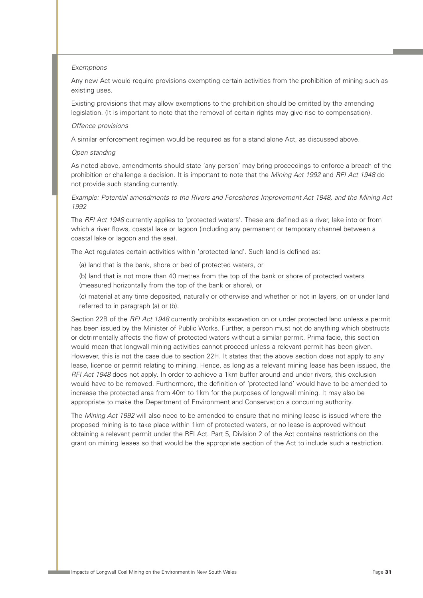#### Exemptions

Any new Act would require provisions exempting certain activities from the prohibition of mining such as existing uses.

Existing provisions that may allow exemptions to the prohibition should be omitted by the amending legislation. (It is important to note that the removal of certain rights may give rise to compensation).

#### Offence provisions

A similar enforcement regimen would be required as for a stand alone Act, as discussed above.

#### Open standing

As noted above, amendments should state 'any person' may bring proceedings to enforce a breach of the prohibition or challenge a decision. It is important to note that the Mining Act 1992 and RFI Act 1948 do not provide such standing currently.

Example: Potential amendments to the Rivers and Foreshores Improvement Act 1948, and the Mining Act 1992

The RFI Act 1948 currently applies to 'protected waters'. These are defined as a river, lake into or from which a river flows, coastal lake or lagoon (including any permanent or temporary channel between a coastal lake or lagoon and the sea).

The Act regulates certain activities within 'protected land'. Such land is defined as:

- (a) land that is the bank, shore or bed of protected waters, or
- (b) land that is not more than 40 metres from the top of the bank or shore of protected waters (measured horizontally from the top of the bank or shore), or

(c) material at any time deposited, naturally or otherwise and whether or not in layers, on or under land referred to in paragraph (a) or (b).

Section 22B of the RFI Act 1948 currently prohibits excavation on or under protected land unless a permit has been issued by the Minister of Public Works. Further, a person must not do anything which obstructs or detrimentally affects the flow of protected waters without a similar permit. Prima facie, this section would mean that longwall mining activities cannot proceed unless a relevant permit has been given. However, this is not the case due to section 22H. It states that the above section does not apply to any lease, licence or permit relating to mining. Hence, as long as a relevant mining lease has been issued, the RFI Act 1948 does not apply. In order to achieve a 1km buffer around and under rivers, this exclusion would have to be removed. Furthermore, the definition of 'protected land' would have to be amended to increase the protected area from 40m to 1km for the purposes of longwall mining. It may also be appropriate to make the Department of Environment and Conservation a concurring authority.

The Mining Act 1992 will also need to be amended to ensure that no mining lease is issued where the proposed mining is to take place within 1km of protected waters, or no lease is approved without obtaining a relevant permit under the RFI Act. Part 5, Division 2 of the Act contains restrictions on the grant on mining leases so that would be the appropriate section of the Act to include such a restriction.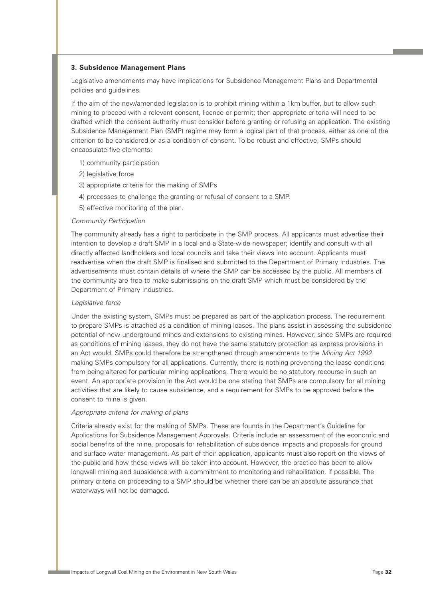#### **3. Subsidence Management Plans**

Legislative amendments may have implications for Subsidence Management Plans and Departmental policies and guidelines.

If the aim of the new/amended legislation is to prohibit mining within a 1km buffer, but to allow such mining to proceed with a relevant consent, licence or permit; then appropriate criteria will need to be drafted which the consent authority must consider before granting or refusing an application. The existing Subsidence Management Plan (SMP) regime may form a logical part of that process, either as one of the criterion to be considered or as a condition of consent. To be robust and effective, SMPs should encapsulate five elements:

- 1) community participation
- 2) legislative force
- 3) appropriate criteria for the making of SMPs
- 4) processes to challenge the granting or refusal of consent to a SMP.
- 5) effective monitoring of the plan.

#### Community Participation

The community already has a right to participate in the SMP process. All applicants must advertise their intention to develop a draft SMP in a local and a State-wide newspaper; identify and consult with all directly affected landholders and local councils and take their views into account. Applicants must readvertise when the draft SMP is finalised and submitted to the Department of Primary Industries. The advertisements must contain details of where the SMP can be accessed by the public. All members of the community are free to make submissions on the draft SMP which must be considered by the Department of Primary Industries.

#### Legislative force

Under the existing system, SMPs must be prepared as part of the application process. The requirement to prepare SMPs is attached as a condition of mining leases. The plans assist in assessing the subsidence potential of new underground mines and extensions to existing mines. However, since SMPs are required as conditions of mining leases, they do not have the same statutory protection as express provisions in an Act would. SMPs could therefore be strengthened through amendments to the Mining Act 1992 making SMPs compulsory for all applications. Currently, there is nothing preventing the lease conditions from being altered for particular mining applications. There would be no statutory recourse in such an event. An appropriate provision in the Act would be one stating that SMPs are compulsory for all mining activities that are likely to cause subsidence, and a requirement for SMPs to be approved before the consent to mine is given.

#### Appropriate criteria for making of plans

Criteria already exist for the making of SMPs. These are founds in the Department's Guideline for Applications for Subsidence Management Approvals. Criteria include an assessment of the economic and social benefits of the mine, proposals for rehabilitation of subsidence impacts and proposals for ground and surface water management. As part of their application, applicants must also report on the views of the public and how these views will be taken into account. However, the practice has been to allow longwall mining and subsidence with a commitment to monitoring and rehabilitation, if possible. The primary criteria on proceeding to a SMP should be whether there can be an absolute assurance that waterways will not be damaged.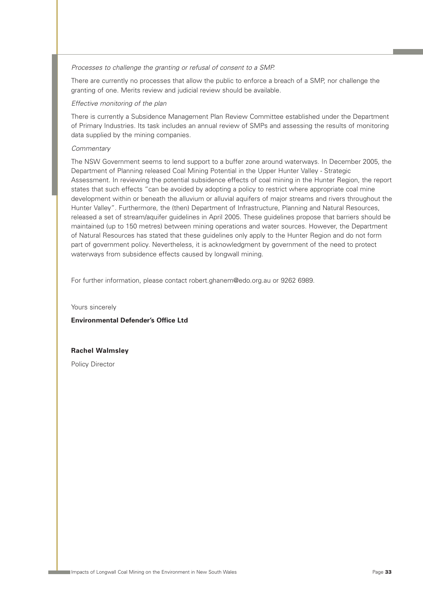Processes to challenge the granting or refusal of consent to a SMP.

There are currently no processes that allow the public to enforce a breach of a SMP, nor challenge the granting of one. Merits review and judicial review should be available.

#### Effective monitoring of the plan

There is currently a Subsidence Management Plan Review Committee established under the Department of Primary Industries. Its task includes an annual review of SMPs and assessing the results of monitoring data supplied by the mining companies.

#### **Commentary**

The NSW Government seems to lend support to a buffer zone around waterways. In December 2005, the Department of Planning released Coal Mining Potential in the Upper Hunter Valley - Strategic Assessment. In reviewing the potential subsidence effects of coal mining in the Hunter Region, the report states that such effects "can be avoided by adopting a policy to restrict where appropriate coal mine development within or beneath the alluvium or alluvial aquifers of major streams and rivers throughout the Hunter Valley". Furthermore, the (then) Department of Infrastructure, Planning and Natural Resources, released a set of stream/aquifer guidelines in April 2005. These guidelines propose that barriers should be maintained (up to 150 metres) between mining operations and water sources. However, the Department of Natural Resources has stated that these guidelines only apply to the Hunter Region and do not form part of government policy. Nevertheless, it is acknowledgment by government of the need to protect waterways from subsidence effects caused by longwall mining.

For further information, please contact robert.ghanem@edo.org.au or 9262 6989.

Yours sincerely

#### **Environmental Defender's Office Ltd**

#### **Rachel Walmsley**

Policy Director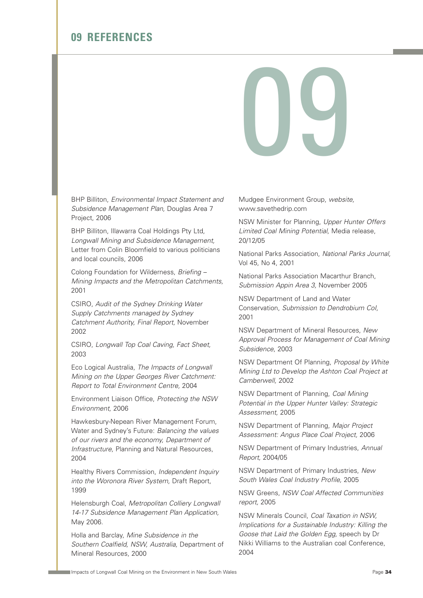### **09 REFERENCES**

# 09

BHP Billiton, Environmental Impact Statement and Subsidence Management Plan, Douglas Area 7 Project, 2006

BHP Billiton, Illawarra Coal Holdings Pty Ltd, Longwall Mining and Subsidence Management, Letter from Colin Bloomfield to various politicians and local councils, 2006

Colong Foundation for Wilderness, Briefing – Mining Impacts and the Metropolitan Catchments, 2001

CSIRO, Audit of the Sydney Drinking Water Supply Catchments managed by Sydney Catchment Authority, Final Report, November 2002

CSIRO, Longwall Top Coal Caving, Fact Sheet, 2003

Eco Logical Australia, The Impacts of Longwall Mining on the Upper Georges River Catchment: Report to Total Environment Centre, 2004

Environment Liaison Office, Protecting the NSW Environment, 2006

Hawkesbury-Nepean River Management Forum, Water and Sydney's Future: Balancing the values of our rivers and the economy, Department of Infrastructure, Planning and Natural Resources, 2004

Healthy Rivers Commission, *Independent Inquiry* into the Woronora River System, Draft Report, 1999

Helensburgh Coal, Metropolitan Colliery Longwall 14-17 Subsidence Management Plan Application, May 2006.

Holla and Barclay, Mine Subsidence in the Southern Coalfield, NSW, Australia, Department of Mineral Resources, 2000

Mudgee Environment Group, website, www.savethedrip.com

NSW Minister for Planning, Upper Hunter Offers Limited Coal Mining Potential, Media release, 20/12/05

National Parks Association, National Parks Journal, Vol 45, No 4, 2001

National Parks Association Macarthur Branch, Submission Appin Area 3, November 2005

NSW Department of Land and Water Conservation, Submission to Dendrobium CoI, 2001

NSW Department of Mineral Resources, New Approval Process for Management of Coal Mining Subsidence, 2003

NSW Department Of Planning, Proposal by White Mining Ltd to Develop the Ashton Coal Project at Camberwell, 2002

NSW Department of Planning, Coal Mining Potential in the Upper Hunter Valley: Strategic Assessment, 2005

NSW Department of Planning, Major Project Assessment: Angus Place Coal Project, 2006

NSW Department of Primary Industries, Annual Report, 2004/05

NSW Department of Primary Industries, New South Wales Coal Industry Profile, 2005

NSW Greens, NSW Coal Affected Communities report, 2005

NSW Minerals Council, Coal Taxation in NSW, Implications for a Sustainable Industry: Killing the Goose that Laid the Golden Egg, speech by Dr Nikki Williams to the Australian coal Conference, 2004